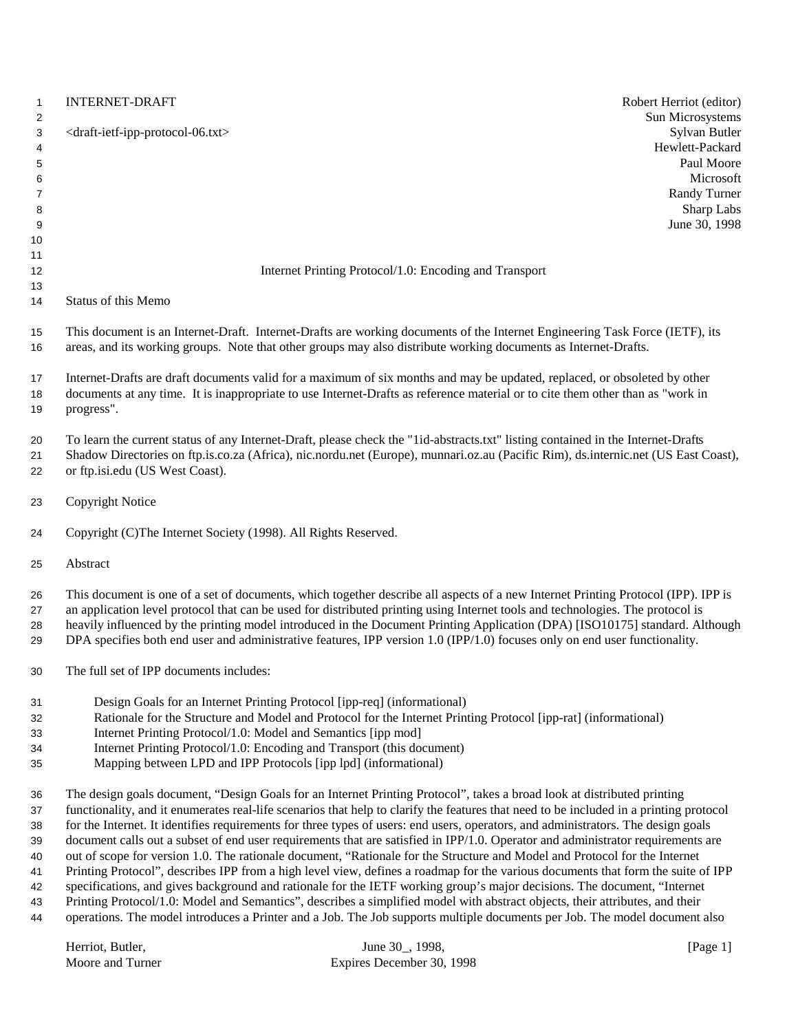| $\mathbf{1}$<br>2 | <b>INTERNET-DRAFT</b><br>Robert Herriot (editor)<br>Sun Microsystems                                                                                                                                                                                                   |  |
|-------------------|------------------------------------------------------------------------------------------------------------------------------------------------------------------------------------------------------------------------------------------------------------------------|--|
| 3<br>4<br>5       | Sylvan Butler<br><draft-ietf-ipp-protocol-06.txt><br/>Hewlett-Packard<br/>Paul Moore</draft-ietf-ipp-protocol-06.txt>                                                                                                                                                  |  |
| 6                 | Microsoft                                                                                                                                                                                                                                                              |  |
| 7                 | Randy Turner                                                                                                                                                                                                                                                           |  |
| 8<br>9            | Sharp Labs<br>June 30, 1998                                                                                                                                                                                                                                            |  |
| 10                |                                                                                                                                                                                                                                                                        |  |
| 11                |                                                                                                                                                                                                                                                                        |  |
| 12                | Internet Printing Protocol/1.0: Encoding and Transport                                                                                                                                                                                                                 |  |
| 13                |                                                                                                                                                                                                                                                                        |  |
| 14                | Status of this Memo                                                                                                                                                                                                                                                    |  |
| 15<br>16          | This document is an Internet-Draft. Internet-Drafts are working documents of the Internet Engineering Task Force (IETF), its<br>areas, and its working groups. Note that other groups may also distribute working documents as Internet-Drafts.                        |  |
| 17                | Internet-Drafts are draft documents valid for a maximum of six months and may be updated, replaced, or obsoleted by other                                                                                                                                              |  |
| 18                | documents at any time. It is inappropriate to use Internet-Drafts as reference material or to cite them other than as "work in                                                                                                                                         |  |
| 19                | progress".                                                                                                                                                                                                                                                             |  |
| 20<br>21          | To learn the current status of any Internet-Draft, please check the "1id-abstracts.txt" listing contained in the Internet-Drafts<br>Shadow Directories on ftp.is.co.za (Africa), nic.nordu.net (Europe), munnari.oz.au (Pacific Rim), ds.internic.net (US East Coast), |  |
| 22                | or ftp.isi.edu (US West Coast).                                                                                                                                                                                                                                        |  |
| 23                | <b>Copyright Notice</b>                                                                                                                                                                                                                                                |  |
| 24                | Copyright (C)The Internet Society (1998). All Rights Reserved.                                                                                                                                                                                                         |  |
| 25                | Abstract                                                                                                                                                                                                                                                               |  |
| 26                | This document is one of a set of documents, which together describe all aspects of a new Internet Printing Protocol (IPP). IPP is                                                                                                                                      |  |
| 27                | an application level protocol that can be used for distributed printing using Internet tools and technologies. The protocol is                                                                                                                                         |  |
| 28<br>29          | heavily influenced by the printing model introduced in the Document Printing Application (DPA) [ISO10175] standard. Although<br>DPA specifies both end user and administrative features, IPP version 1.0 (IPP/1.0) focuses only on end user functionality.             |  |
| 30                | The full set of IPP documents includes:                                                                                                                                                                                                                                |  |
| 31                | Design Goals for an Internet Printing Protocol [ipp-req] (informational)                                                                                                                                                                                               |  |
| 32                | Rationale for the Structure and Model and Protocol for the Internet Printing Protocol [ipp-rat] (informational)                                                                                                                                                        |  |
| 33                | Internet Printing Protocol/1.0: Model and Semantics [ipp mod]                                                                                                                                                                                                          |  |
| 34                | Internet Printing Protocol/1.0: Encoding and Transport (this document)                                                                                                                                                                                                 |  |
| 35                | Mapping between LPD and IPP Protocols [ipp lpd] (informational)                                                                                                                                                                                                        |  |
| 36                | The design goals document, "Design Goals for an Internet Printing Protocol", takes a broad look at distributed printing                                                                                                                                                |  |
| 37                | functionality, and it enumerates real-life scenarios that help to clarify the features that need to be included in a printing protocol                                                                                                                                 |  |
| 38                | for the Internet. It identifies requirements for three types of users: end users, operators, and administrators. The design goals                                                                                                                                      |  |
| 39                | document calls out a subset of end user requirements that are satisfied in IPP/1.0. Operator and administrator requirements are                                                                                                                                        |  |
| 40                | out of scope for version 1.0. The rationale document, "Rationale for the Structure and Model and Protocol for the Internet                                                                                                                                             |  |
| 41                | Printing Protocol", describes IPP from a high level view, defines a roadmap for the various documents that form the suite of IPP                                                                                                                                       |  |
| 42<br>43          | specifications, and gives background and rationale for the IETF working group's major decisions. The document, "Internet<br>Printing Protocol/1.0: Model and Semantics", describes a simplified model with abstract objects, their attributes, and their               |  |

operations. The model introduces a Printer and a Job. The Job supports multiple documents per Job. The model document also

| Herriot. Butler. | June 30, 1998.            | [Page $1$ ] |
|------------------|---------------------------|-------------|
| Moore and Turner | Expires December 30, 1998 |             |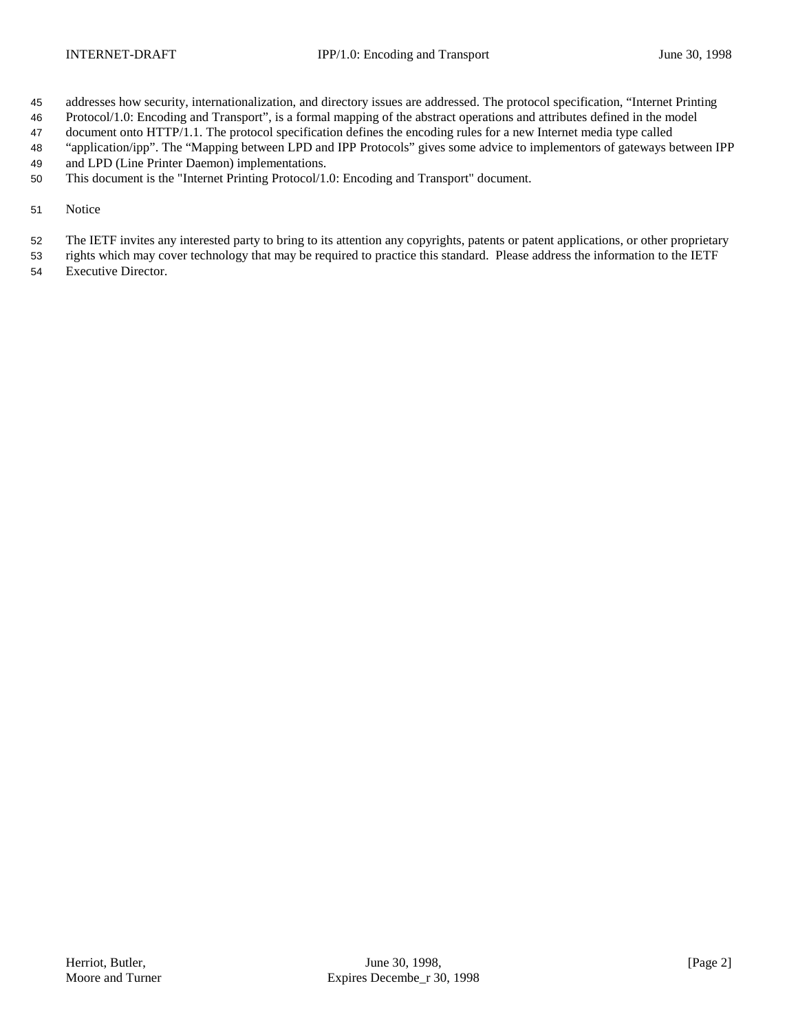- addresses how security, internationalization, and directory issues are addressed. The protocol specification, "Internet Printing
- Protocol/1.0: Encoding and Transport", is a formal mapping of the abstract operations and attributes defined in the model
- document onto HTTP/1.1. The protocol specification defines the encoding rules for a new Internet media type called
- "application/ipp". The "Mapping between LPD and IPP Protocols" gives some advice to implementors of gateways between IPP
- and LPD (Line Printer Daemon) implementations.
- This document is the "Internet Printing Protocol/1.0: Encoding and Transport" document.
- Notice
- The IETF invites any interested party to bring to its attention any copyrights, patents or patent applications, or other proprietary
- rights which may cover technology that may be required to practice this standard. Please address the information to the IETF
- Executive Director.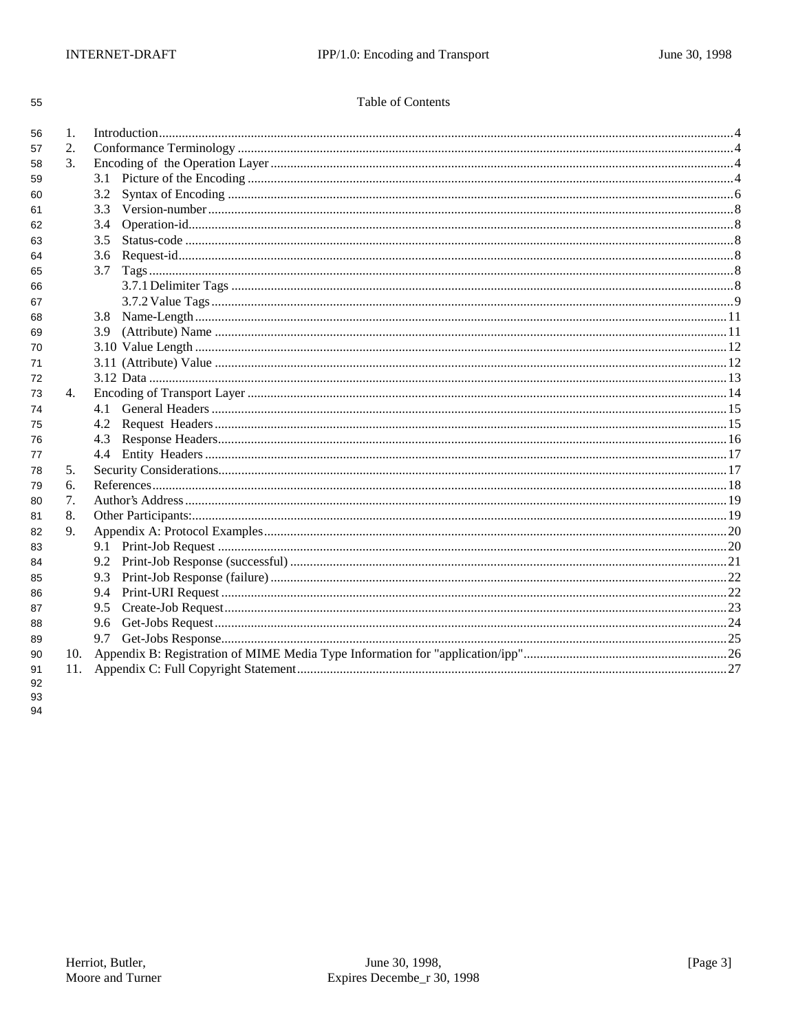| ٠<br>I<br>۰. | I<br>٠<br>۰. |
|--------------|--------------|

## Table of Contents

| 56 | 1.  |     |  |
|----|-----|-----|--|
| 57 | 2.  |     |  |
| 58 | 3.  |     |  |
| 59 |     | 3.1 |  |
| 60 |     | 3.2 |  |
| 61 |     | 3.3 |  |
| 62 |     | 3.4 |  |
| 63 |     | 3.5 |  |
| 64 |     | 3.6 |  |
| 65 |     | 3.7 |  |
| 66 |     |     |  |
| 67 |     |     |  |
| 68 |     | 3.8 |  |
| 69 |     | 3.9 |  |
| 70 |     |     |  |
| 71 |     |     |  |
| 72 |     |     |  |
| 73 | 4.  |     |  |
| 74 |     | 4.1 |  |
| 75 |     | 4.2 |  |
| 76 |     | 4.3 |  |
| 77 |     | 4.4 |  |
| 78 | 5.  |     |  |
| 79 | 6.  |     |  |
| 80 | 7.  |     |  |
| 81 | 8.  |     |  |
| 82 | 9.  |     |  |
| 83 |     |     |  |
| 84 |     | 9.2 |  |
| 85 |     | 9.3 |  |
| 86 |     | 9.4 |  |
| 87 |     | 9.5 |  |
| 88 |     | 9.6 |  |
| 89 |     | 9.7 |  |
| 90 | 10. |     |  |
| 91 | 11. |     |  |
| 92 |     |     |  |

93 94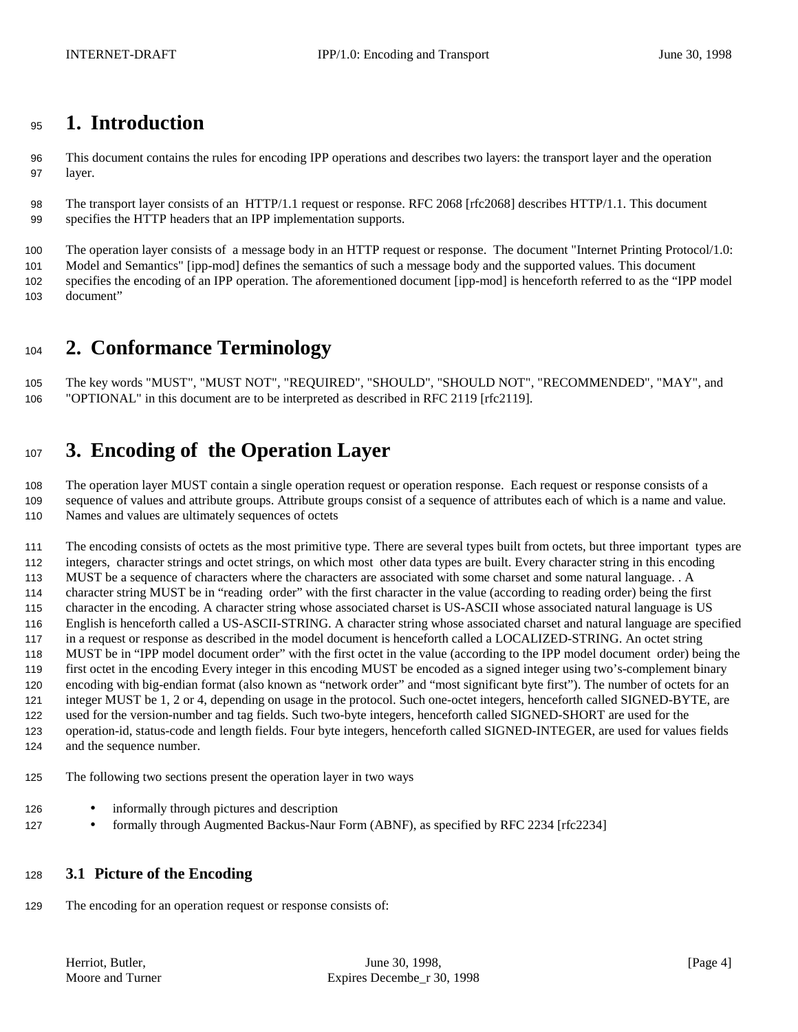## **1. Introduction**

 This document contains the rules for encoding IPP operations and describes two layers: the transport layer and the operation layer.

 The transport layer consists of an HTTP/1.1 request or response. RFC 2068 [rfc2068] describes HTTP/1.1. This document specifies the HTTP headers that an IPP implementation supports.

 The operation layer consists of a message body in an HTTP request or response. The document "Internet Printing Protocol/1.0: Model and Semantics" [ipp-mod] defines the semantics of such a message body and the supported values. This document

 specifies the encoding of an IPP operation. The aforementioned document [ipp-mod] is henceforth referred to as the "IPP model document"

# **2. Conformance Terminology**

 The key words "MUST", "MUST NOT", "REQUIRED", "SHOULD", "SHOULD NOT", "RECOMMENDED", "MAY", and "OPTIONAL" in this document are to be interpreted as described in RFC 2119 [rfc2119].

# **3. Encoding of the Operation Layer**

 The operation layer MUST contain a single operation request or operation response. Each request or response consists of a sequence of values and attribute groups. Attribute groups consist of a sequence of attributes each of which is a name and value. Names and values are ultimately sequences of octets

 The encoding consists of octets as the most primitive type. There are several types built from octets, but three important types are integers, character strings and octet strings, on which most other data types are built. Every character string in this encoding MUST be a sequence of characters where the characters are associated with some charset and some natural language. . A character string MUST be in "reading order" with the first character in the value (according to reading order) being the first character in the encoding. A character string whose associated charset is US-ASCII whose associated natural language is US English is henceforth called a US-ASCII-STRING. A character string whose associated charset and natural language are specified in a request or response as described in the model document is henceforth called a LOCALIZED-STRING. An octet string MUST be in "IPP model document order" with the first octet in the value (according to the IPP model document order) being the first octet in the encoding Every integer in this encoding MUST be encoded as a signed integer using two's-complement binary encoding with big-endian format (also known as "network order" and "most significant byte first"). The number of octets for an integer MUST be 1, 2 or 4, depending on usage in the protocol. Such one-octet integers, henceforth called SIGNED-BYTE, are used for the version-number and tag fields. Such two-byte integers, henceforth called SIGNED-SHORT are used for the operation-id, status-code and length fields. Four byte integers, henceforth called SIGNED-INTEGER, are used for values fields and the sequence number.

The following two sections present the operation layer in two ways

- 126 informally through pictures and description
- 127 formally through Augmented Backus-Naur Form (ABNF), as specified by RFC 2234 [rfc2234]

## **3.1 Picture of the Encoding**

The encoding for an operation request or response consists of: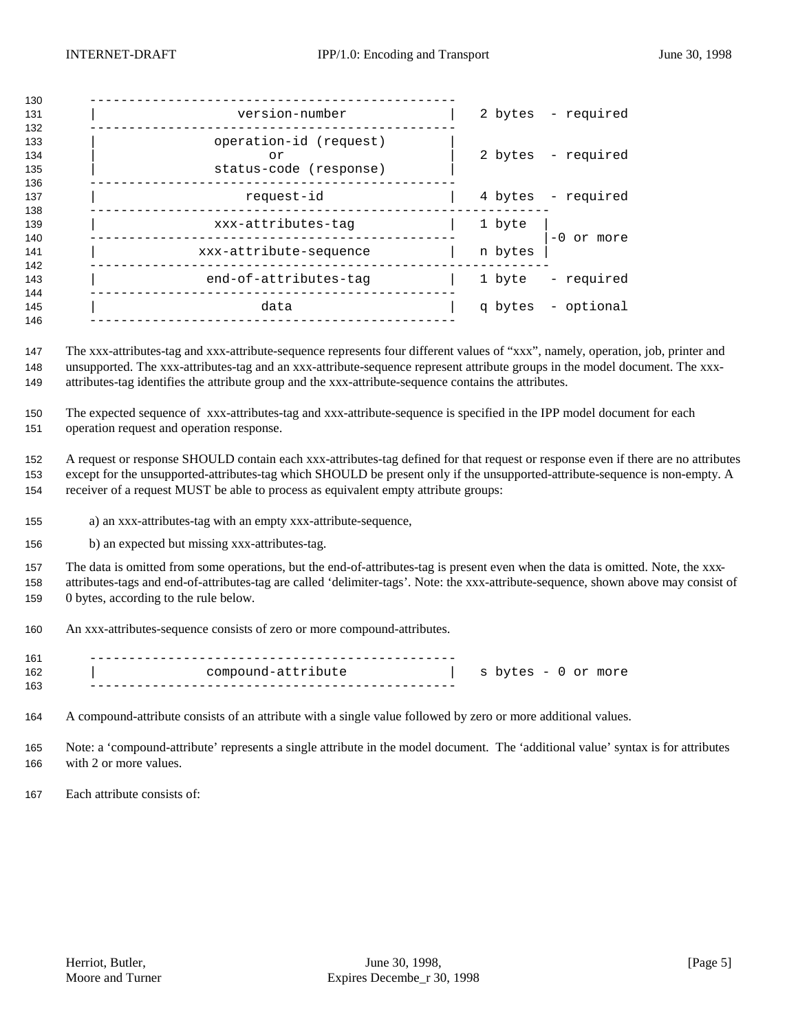| 130                      |                                                        |         |                    |
|--------------------------|--------------------------------------------------------|---------|--------------------|
| 131<br>132               | version-number                                         |         | 2 bytes - required |
| 133<br>134<br>135<br>136 | operation-id (request)<br>or<br>status-code (response) |         | 2 bytes - required |
| 137<br>138               | request-id                                             |         | 4 bytes - required |
| 139<br>140               | xxx-attributes-tag                                     | 1 byte  | $-0$ or more       |
| 141<br>142               | xxx-attribute-sequence                                 | n bytes |                    |
| 143<br>144               | end-of-attributes-tag                                  | 1 byte  | - required         |
| 145<br>146               | data                                                   |         | q bytes - optional |
|                          |                                                        |         |                    |

 The xxx-attributes-tag and xxx-attribute-sequence represents four different values of "xxx", namely, operation, job, printer and unsupported. The xxx-attributes-tag and an xxx-attribute-sequence represent attribute groups in the model document. The xxx-attributes-tag identifies the attribute group and the xxx-attribute-sequence contains the attributes.

 The expected sequence of xxx-attributes-tag and xxx-attribute-sequence is specified in the IPP model document for each operation request and operation response.

 A request or response SHOULD contain each xxx-attributes-tag defined for that request or response even if there are no attributes except for the unsupported-attributes-tag which SHOULD be present only if the unsupported-attribute-sequence is non-empty. A receiver of a request MUST be able to process as equivalent empty attribute groups:

- a) an xxx-attributes-tag with an empty xxx-attribute-sequence,
- b) an expected but missing xxx-attributes-tag.

 The data is omitted from some operations, but the end-of-attributes-tag is present even when the data is omitted. Note, the xxx- attributes-tags and end-of-attributes-tag are called 'delimiter-tags'. Note: the xxx-attribute-sequence, shown above may consist of 0 bytes, according to the rule below.

An xxx-attributes-sequence consists of zero or more compound-attributes.

| 161 |                    |                     |
|-----|--------------------|---------------------|
| 162 | compound-attribute | s bytes - 0 or more |
| 163 |                    |                     |

A compound-attribute consists of an attribute with a single value followed by zero or more additional values.

 Note: a 'compound-attribute' represents a single attribute in the model document. The 'additional value' syntax is for attributes with 2 or more values.

Each attribute consists of: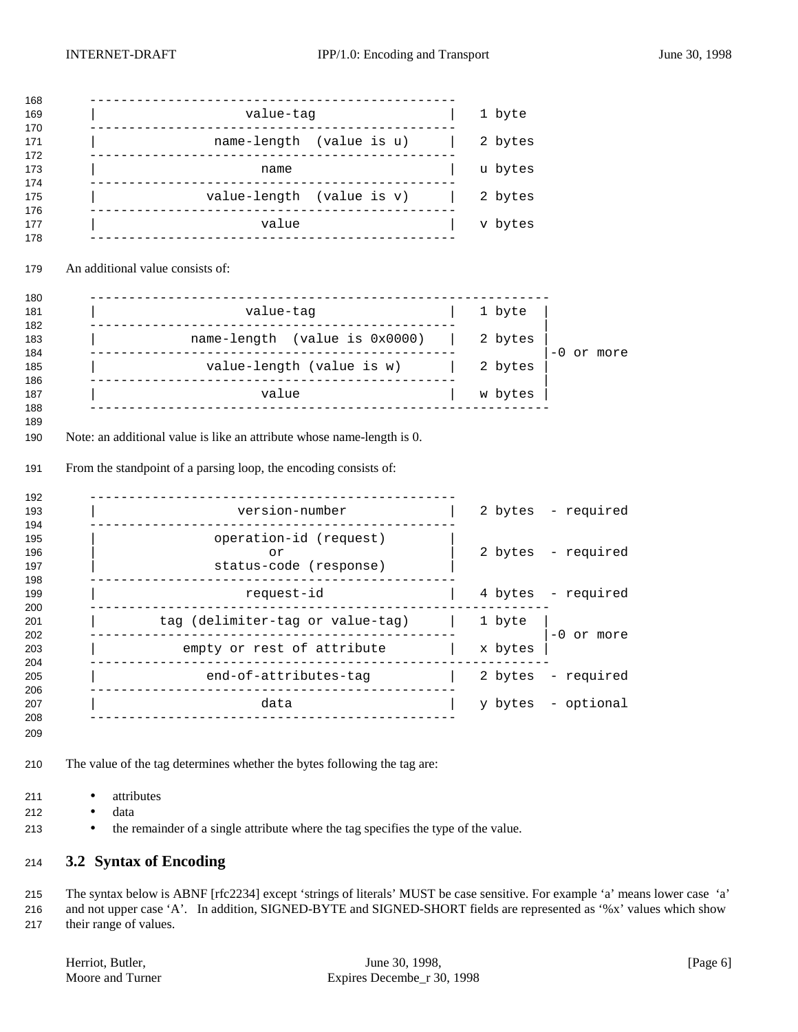| value-tag                                                                                                                                           | 1 byte  |                                                                              |
|-----------------------------------------------------------------------------------------------------------------------------------------------------|---------|------------------------------------------------------------------------------|
| name-length (value is u)                                                                                                                            | 2 bytes |                                                                              |
| name<br>___________                                                                                                                                 | u bytes |                                                                              |
| value-length (value is v)                                                                                                                           | 2 bytes |                                                                              |
| value                                                                                                                                               | v bytes |                                                                              |
| An additional value consists of:                                                                                                                    |         |                                                                              |
| _______________________________<br>value-tag                                                                                                        | 1 byte  |                                                                              |
| $name-length$ (value is $0x0000$ )                                                                                                                  | 2 bytes |                                                                              |
|                                                                                                                                                     |         |                                                                              |
| _______________<br>value-length (value is w)                                                                                                        | 2 bytes |                                                                              |
| value<br>Note: an additional value is like an attribute whose name-length is 0.<br>From the standpoint of a parsing loop, the encoding consists of: | w bytes |                                                                              |
| version-number                                                                                                                                      |         |                                                                              |
| operation-id (request)<br>or<br>status-code (response)                                                                                              |         |                                                                              |
| request-id                                                                                                                                          |         |                                                                              |
| -----------------<br>tag (delimiter-tag or value-tag)                                                                                               | 1 byte  | -0 or more<br>2 bytes - required<br>2 bytes - required<br>4 bytes - required |
| empty or rest of attribute                                                                                                                          | x bytes |                                                                              |
| end-of-attributes-tag                                                                                                                               | 2 bytes | $-0$ or more<br>- required                                                   |

- attributes
- data
- the remainder of a single attribute where the tag specifies the type of the value.

## **3.2 Syntax of Encoding**

 The syntax below is ABNF [rfc2234] except 'strings of literals' MUST be case sensitive. For example 'a' means lower case 'a' and not upper case 'A'. In addition, SIGNED-BYTE and SIGNED-SHORT fields are represented as '%x' values which show their range of values.

| Herriot, Butler, |
|------------------|
| Moore and Turner |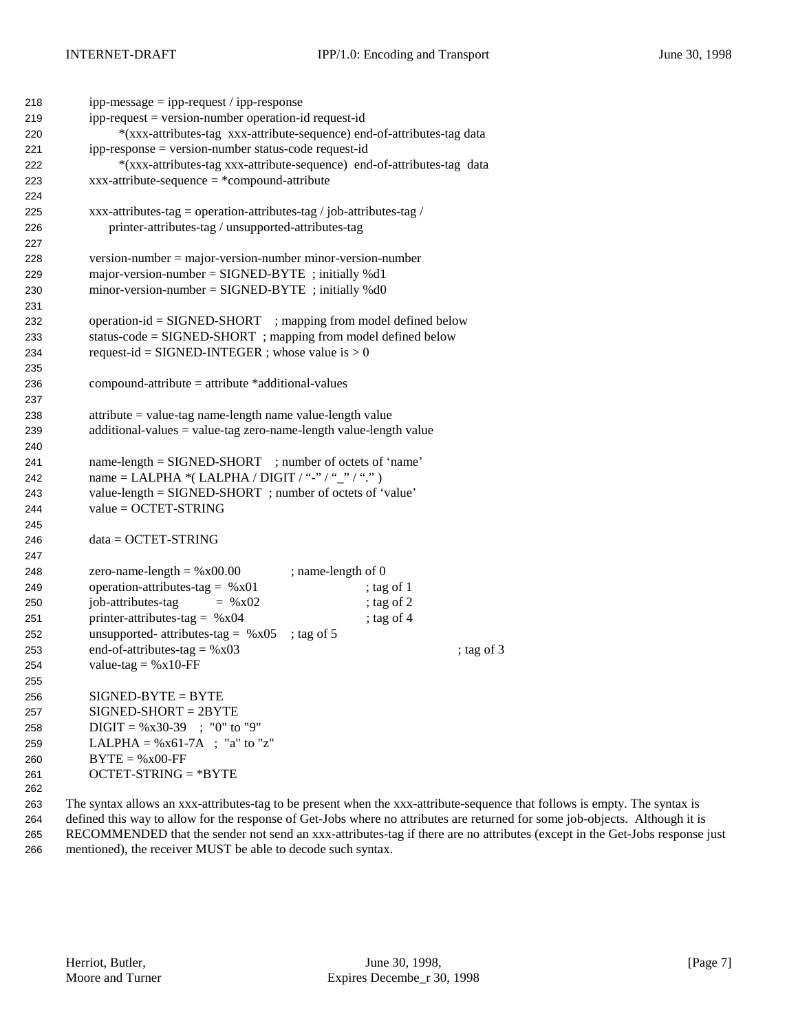| 218 | $ipp-message = ipp-request / ipp-response$                           |                                                                         |
|-----|----------------------------------------------------------------------|-------------------------------------------------------------------------|
| 219 | $ipp-request = version-number operation-id request-id$               |                                                                         |
| 220 |                                                                      | *(xxx-attributes-tag xxx-attribute-sequence) end-of-attributes-tag data |
| 221 | ipp-response = version-number status-code request-id                 |                                                                         |
| 222 |                                                                      | *(xxx-attributes-tag xxx-attribute-sequence) end-of-attributes-tag data |
| 223 | $xxx-attribute-sequence = *compound-attribute$                       |                                                                         |
| 224 |                                                                      |                                                                         |
| 225 | xxx-attributes-tag = operation-attributes-tag / job-attributes-tag / |                                                                         |
| 226 | printer-attributes-tag / unsupported-attributes-tag                  |                                                                         |
| 227 |                                                                      |                                                                         |
| 228 | $version-number = majorversion-number minor-version-number$          |                                                                         |
| 229 | major-version-number = $SIGNED-BYTE$ ; initially %d1                 |                                                                         |
| 230 | $minor-version-number = SIGNED-BYTE$ ; initially %d0                 |                                                                         |
| 231 |                                                                      |                                                                         |
| 232 | operation-id = SIGNED-SHORT ; mapping from model defined below       |                                                                         |
| 233 | status-code = SIGNED-SHORT ; mapping from model defined below        |                                                                         |
| 234 | request-id = SIGNED-INTEGER ; whose value is $> 0$                   |                                                                         |
| 235 |                                                                      |                                                                         |
| 236 | $compound-attribute = attribute * additional-values$                 |                                                                         |
| 237 |                                                                      |                                                                         |
| 238 | $attribute = value-tag name-length name value-length value$          |                                                                         |
| 239 | $additional-values = value-tag zero-name-length value-length value$  |                                                                         |
| 240 |                                                                      |                                                                         |
| 241 | name-length = SIGNED-SHORT ; number of octets of 'name'              |                                                                         |
|     | name = LALPHA *(LALPHA / DIGIT / "-" / "_" / ".")                    |                                                                         |
| 242 | value-length = SIGNED-SHORT; number of octets of 'value'             |                                                                         |
| 243 | $value = OCTET-STRING$                                               |                                                                         |
| 244 |                                                                      |                                                                         |
| 245 | $data = OCTET-STRING$                                                |                                                                         |
| 246 |                                                                      |                                                                         |
| 247 |                                                                      |                                                                         |
| 248 | zero-name-length = $%x00.00$                                         | ; name-length of 0                                                      |
| 249 | operation-attributes-tag = $%x01$                                    | ; tag of 1                                                              |
| 250 | job-attributes-tag<br>$=$ % x 02                                     | ; tag of 2                                                              |
| 251 | printer-attributes-tag = $%x04$                                      | ; tag of $4$                                                            |
| 252 | unsupported- attributes-tag = $%x05$                                 | ; tag of $5$                                                            |
| 253 | end-of-attributes-tag = $%x03$                                       | ; tag of $3$                                                            |
| 254 | value-tag = $%x10$ -FF                                               |                                                                         |
| 255 |                                                                      |                                                                         |
| 256 | $SIGNED-BYTE = BYTE$                                                 |                                                                         |
| 257 | $SIGNED-SHORT = 2BYTE$                                               |                                                                         |
| 258 | $DIGIT = %x30-39$ ; "0" to "9"                                       |                                                                         |
| 259 | LALPHA = $%x61-7A$ ; "a" to "z"                                      |                                                                         |
| 260 | $BYTE = %x00-FF$                                                     |                                                                         |
| 261 | $OCTET-STRING = *BYTE$                                               |                                                                         |
| 262 |                                                                      |                                                                         |

 The syntax allows an xxx-attributes-tag to be present when the xxx-attribute-sequence that follows is empty. The syntax is defined this way to allow for the response of Get-Jobs where no attributes are returned for some job-objects. Although it is RECOMMENDED that the sender not send an xxx-attributes-tag if there are no attributes (except in the Get-Jobs response just mentioned), the receiver MUST be able to decode such syntax.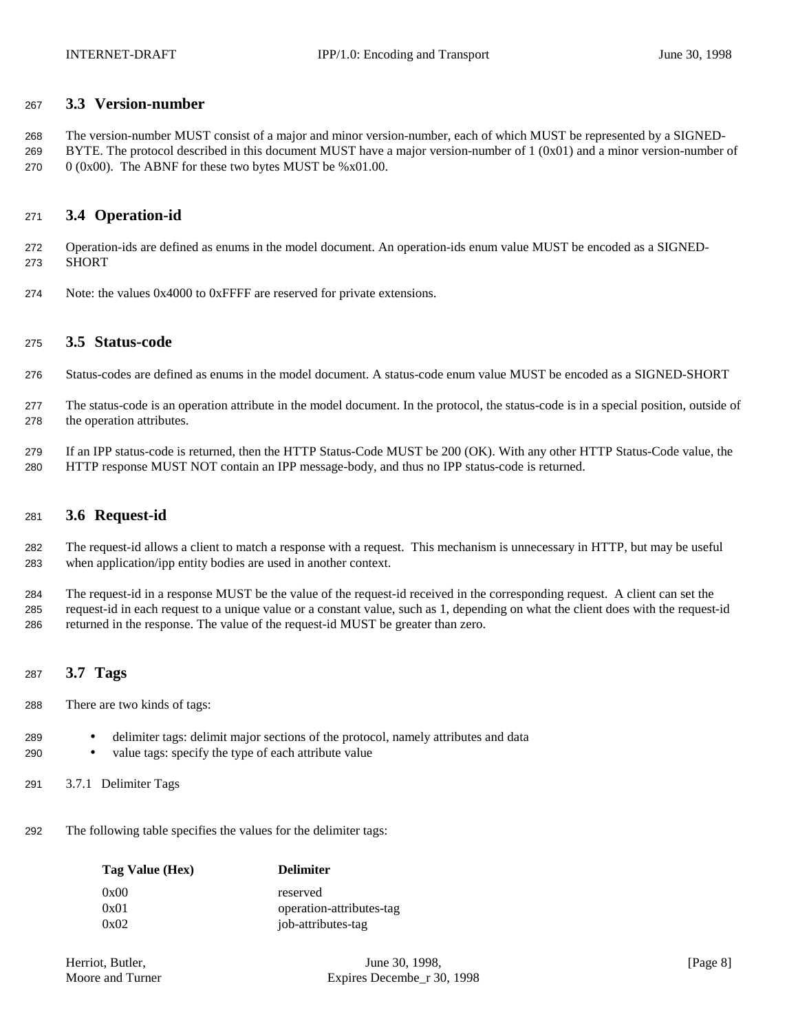#### **3.3 Version-number**

 The version-number MUST consist of a major and minor version-number, each of which MUST be represented by a SIGNED-269 BYTE. The protocol described in this document MUST have a major version-number of  $1 (0x01)$  and a minor version-number of 270 (0x00). The ABNF for these two bytes MUST be %x01.00.

### **3.4 Operation-id**

 Operation-ids are defined as enums in the model document. An operation-ids enum value MUST be encoded as a SIGNED-SHORT

Note: the values 0x4000 to 0xFFFF are reserved for private extensions.

#### **3.5 Status-code**

- Status-codes are defined as enums in the model document. A status-code enum value MUST be encoded as a SIGNED-SHORT
- The status-code is an operation attribute in the model document. In the protocol, the status-code is in a special position, outside of the operation attributes.
- If an IPP status-code is returned, then the HTTP Status-Code MUST be 200 (OK). With any other HTTP Status-Code value, the HTTP response MUST NOT contain an IPP message-body, and thus no IPP status-code is returned.

#### **3.6 Request-id**

 The request-id allows a client to match a response with a request. This mechanism is unnecessary in HTTP, but may be useful when application/ipp entity bodies are used in another context.

 The request-id in a response MUST be the value of the request-id received in the corresponding request. A client can set the request-id in each request to a unique value or a constant value, such as 1, depending on what the client does with the request-id returned in the response. The value of the request-id MUST be greater than zero.

## **3.7 Tags**

- There are two kinds of tags:
- delimiter tags: delimit major sections of the protocol, namely attributes and data
- value tags: specify the type of each attribute value
- 3.7.1 Delimiter Tags
- The following table specifies the values for the delimiter tags:

| Tag Value (Hex) | <b>Delimiter</b>         |
|-----------------|--------------------------|
| 0x00            | reserved                 |
| 0x01            | operation-attributes-tag |
| 0x02            | job-attributes-tag       |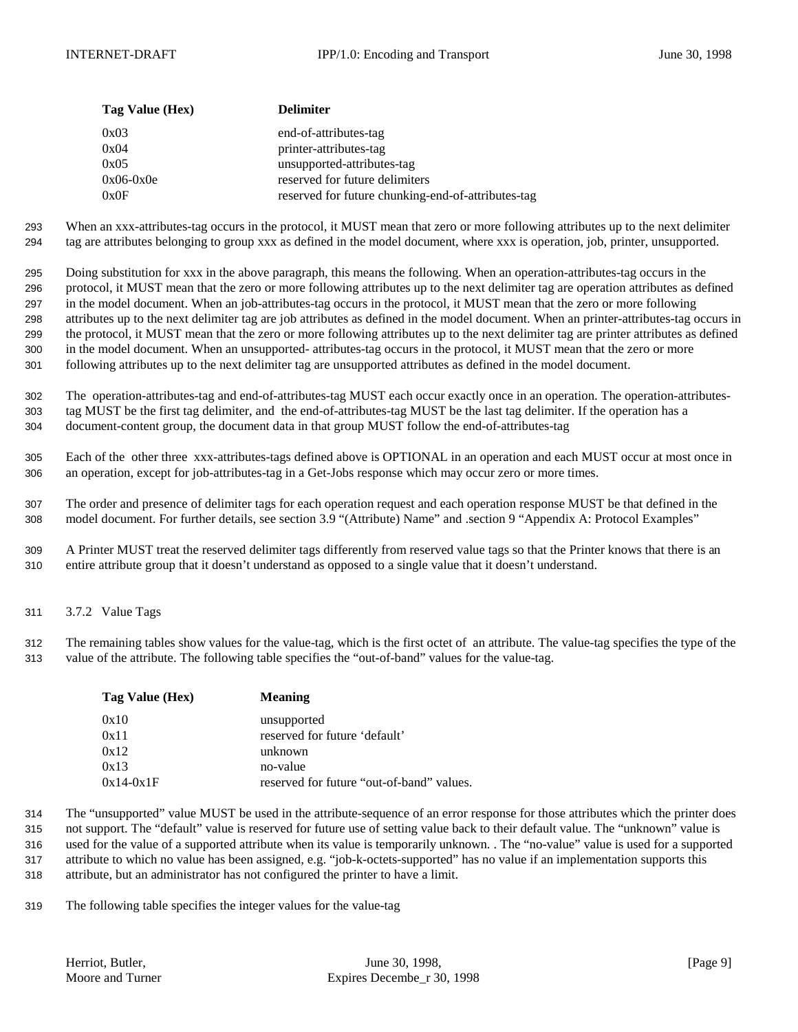| Tag Value (Hex) | <b>Delimiter</b>                                   |
|-----------------|----------------------------------------------------|
| 0x03            | end-of-attributes-tag                              |
| 0x04            | printer-attributes-tag                             |
| 0x05            | unsupported-attributes-tag                         |
| $0x06-0x0e$     | reserved for future delimiters                     |
| 0x0F            | reserved for future chunking-end-of-attributes-tag |

 When an xxx-attributes-tag occurs in the protocol, it MUST mean that zero or more following attributes up to the next delimiter tag are attributes belonging to group xxx as defined in the model document, where xxx is operation, job, printer, unsupported.

 Doing substitution for xxx in the above paragraph, this means the following. When an operation-attributes-tag occurs in the protocol, it MUST mean that the zero or more following attributes up to the next delimiter tag are operation attributes as defined in the model document. When an job-attributes-tag occurs in the protocol, it MUST mean that the zero or more following attributes up to the next delimiter tag are job attributes as defined in the model document. When an printer-attributes-tag occurs in the protocol, it MUST mean that the zero or more following attributes up to the next delimiter tag are printer attributes as defined in the model document. When an unsupported- attributes-tag occurs in the protocol, it MUST mean that the zero or more following attributes up to the next delimiter tag are unsupported attributes as defined in the model document.

 The operation-attributes-tag and end-of-attributes-tag MUST each occur exactly once in an operation. The operation-attributes- tag MUST be the first tag delimiter, and the end-of-attributes-tag MUST be the last tag delimiter. If the operation has a document-content group, the document data in that group MUST follow the end-of-attributes-tag

 Each of the other three xxx-attributes-tags defined above is OPTIONAL in an operation and each MUST occur at most once in an operation, except for job-attributes-tag in a Get-Jobs response which may occur zero or more times.

 The order and presence of delimiter tags for each operation request and each operation response MUST be that defined in the model document. For further details, see section 3.9 "(Attribute) Name" and .section 9 "Appendix A: Protocol Examples"

 A Printer MUST treat the reserved delimiter tags differently from reserved value tags so that the Printer knows that there is an entire attribute group that it doesn't understand as opposed to a single value that it doesn't understand.

3.7.2 Value Tags

 The remaining tables show values for the value-tag, which is the first octet of an attribute. The value-tag specifies the type of the value of the attribute. The following table specifies the "out-of-band" values for the value-tag.

| Tag Value (Hex) | <b>Meaning</b>                            |
|-----------------|-------------------------------------------|
| 0x10            | unsupported                               |
| 0x11            | reserved for future 'default'             |
| 0x12            | unknown                                   |
| 0x13            | no-value                                  |
| $0x14-0x1F$     | reserved for future "out-of-band" values. |

 The "unsupported" value MUST be used in the attribute-sequence of an error response for those attributes which the printer does not support. The "default" value is reserved for future use of setting value back to their default value. The "unknown" value is

used for the value of a supported attribute when its value is temporarily unknown. . The "no-value" value is used for a supported

 attribute to which no value has been assigned, e.g. "job-k-octets-supported" has no value if an implementation supports this attribute, but an administrator has not configured the printer to have a limit.

The following table specifies the integer values for the value-tag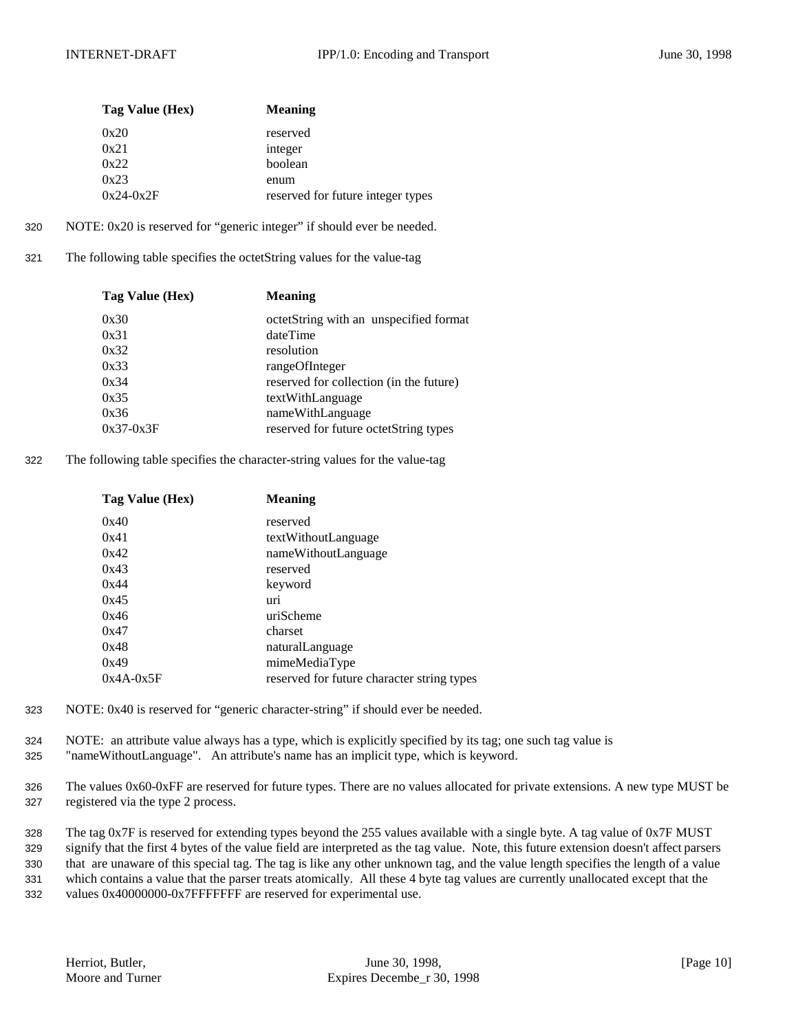| Tag Value (Hex) | <b>Meaning</b>                    |
|-----------------|-----------------------------------|
| 0x20            | reserved                          |
| 0x21            | integer                           |
| 0x22            | boolean                           |
| 0x23            | enum                              |
| $0x24-0x2F$     | reserved for future integer types |

- 320 NOTE: 0x20 is reserved for "generic integer" if should ever be needed.
- 321 The following table specifies the octetString values for the value-tag

| Tag Value (Hex) | <b>Meaning</b>                          |
|-----------------|-----------------------------------------|
| 0x30            | octetString with an unspecified format  |
| 0x31            | dateTime                                |
| 0x32            | resolution                              |
| 0x33            | rangeOfInteger                          |
| 0x34            | reserved for collection (in the future) |
| 0x35            | textWithLanguage                        |
| 0x36            | nameWithLanguage                        |
| $0x37-0x3F$     | reserved for future octetString types   |
|                 |                                         |

322 The following table specifies the character-string values for the value-tag

| Tag Value (Hex) | <b>Meaning</b>                             |
|-----------------|--------------------------------------------|
| 0x40            | reserved                                   |
| 0x41            | textWithoutLanguage                        |
| 0x42            | nameWithoutLanguage                        |
| 0x43            | reserved                                   |
| 0x44            | keyword                                    |
| 0x45            | uri                                        |
| 0x46            | uriScheme                                  |
| 0x47            | charset                                    |
| 0x48            | naturalLanguage                            |
| 0x49            | mimeMediaType                              |
| $0x4A-0x5F$     | reserved for future character string types |

- 323 NOTE: 0x40 is reserved for "generic character-string" if should ever be needed.
- 324 NOTE: an attribute value always has a type, which is explicitly specified by its tag; one such tag value is 325 "nameWithoutLanguage". An attribute's name has an implicit type, which is keyword.
- 326 The values 0x60-0xFF are reserved for future types. There are no values allocated for private extensions. A new type MUST be 327 registered via the type 2 process.

 The tag 0x7F is reserved for extending types beyond the 255 values available with a single byte. A tag value of 0x7F MUST signify that the first 4 bytes of the value field are interpreted as the tag value. Note, this future extension doesn't affect parsers that are unaware of this special tag. The tag is like any other unknown tag, and the value length specifies the length of a value which contains a value that the parser treats atomically. All these 4 byte tag values are currently unallocated except that the values 0x40000000-0x7FFFFFFF are reserved for experimental use.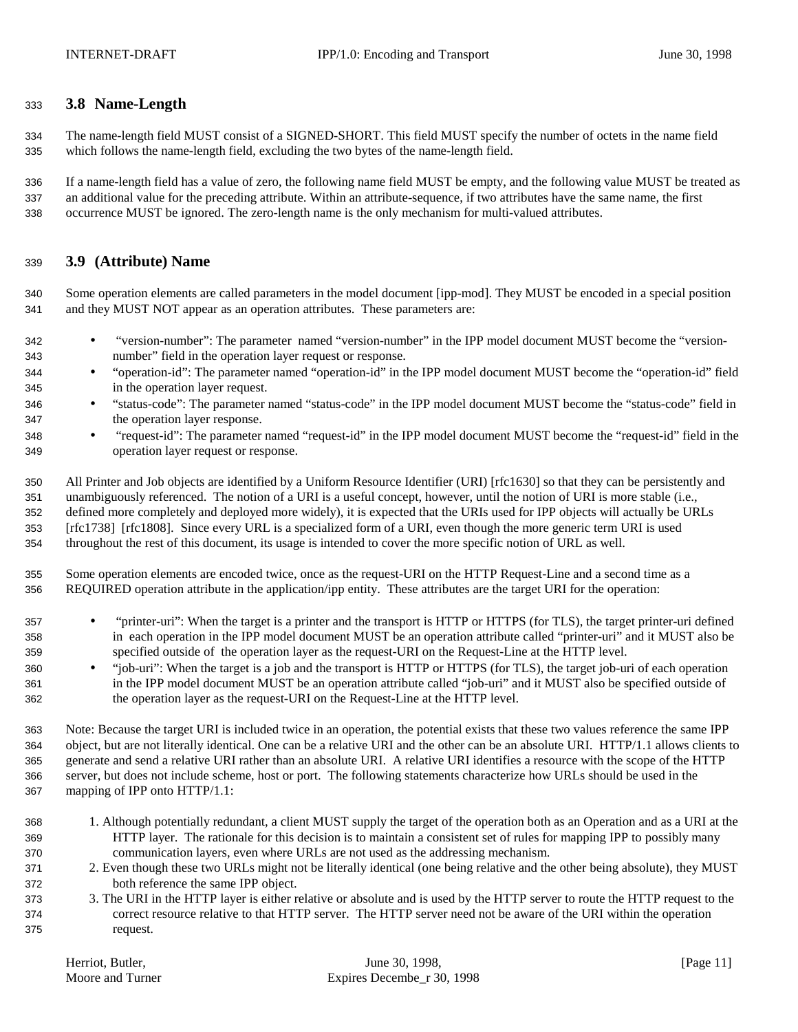## **3.8 Name-Length**

 The name-length field MUST consist of a SIGNED-SHORT. This field MUST specify the number of octets in the name field which follows the name-length field, excluding the two bytes of the name-length field.

 If a name-length field has a value of zero, the following name field MUST be empty, and the following value MUST be treated as an additional value for the preceding attribute. Within an attribute-sequence, if two attributes have the same name, the first occurrence MUST be ignored. The zero-length name is the only mechanism for multi-valued attributes.

## **3.9 (Attribute) Name**

 Some operation elements are called parameters in the model document [ipp-mod]. They MUST be encoded in a special position and they MUST NOT appear as an operation attributes. These parameters are:

- "version-number": The parameter named "version-number" in the IPP model document MUST become the "version-number" field in the operation layer request or response.
- "operation-id": The parameter named "operation-id" in the IPP model document MUST become the "operation-id" field in the operation layer request.
- "status-code": The parameter named "status-code" in the IPP model document MUST become the "status-code" field in the operation layer response.
- "request-id": The parameter named "request-id" in the IPP model document MUST become the "request-id" field in the operation layer request or response.

 All Printer and Job objects are identified by a Uniform Resource Identifier (URI) [rfc1630] so that they can be persistently and unambiguously referenced. The notion of a URI is a useful concept, however, until the notion of URI is more stable (i.e., defined more completely and deployed more widely), it is expected that the URIs used for IPP objects will actually be URLs [rfc1738] [rfc1808]. Since every URL is a specialized form of a URI, even though the more generic term URI is used throughout the rest of this document, its usage is intended to cover the more specific notion of URL as well.

 Some operation elements are encoded twice, once as the request-URI on the HTTP Request-Line and a second time as a REQUIRED operation attribute in the application/ipp entity. These attributes are the target URI for the operation:

- "printer-uri": When the target is a printer and the transport is HTTP or HTTPS (for TLS), the target printer-uri defined in each operation in the IPP model document MUST be an operation attribute called "printer-uri" and it MUST also be specified outside of the operation layer as the request-URI on the Request-Line at the HTTP level.
- "job-uri": When the target is a job and the transport is HTTP or HTTPS (for TLS), the target job-uri of each operation in the IPP model document MUST be an operation attribute called "job-uri" and it MUST also be specified outside of the operation layer as the request-URI on the Request-Line at the HTTP level.

 Note: Because the target URI is included twice in an operation, the potential exists that these two values reference the same IPP object, but are not literally identical. One can be a relative URI and the other can be an absolute URI. HTTP/1.1 allows clients to generate and send a relative URI rather than an absolute URI. A relative URI identifies a resource with the scope of the HTTP server, but does not include scheme, host or port. The following statements characterize how URLs should be used in the mapping of IPP onto HTTP/1.1:

- 1. Although potentially redundant, a client MUST supply the target of the operation both as an Operation and as a URI at the HTTP layer. The rationale for this decision is to maintain a consistent set of rules for mapping IPP to possibly many communication layers, even where URLs are not used as the addressing mechanism.
- 2. Even though these two URLs might not be literally identical (one being relative and the other being absolute), they MUST both reference the same IPP object.
- 3. The URI in the HTTP layer is either relative or absolute and is used by the HTTP server to route the HTTP request to the correct resource relative to that HTTP server. The HTTP server need not be aware of the URI within the operation request.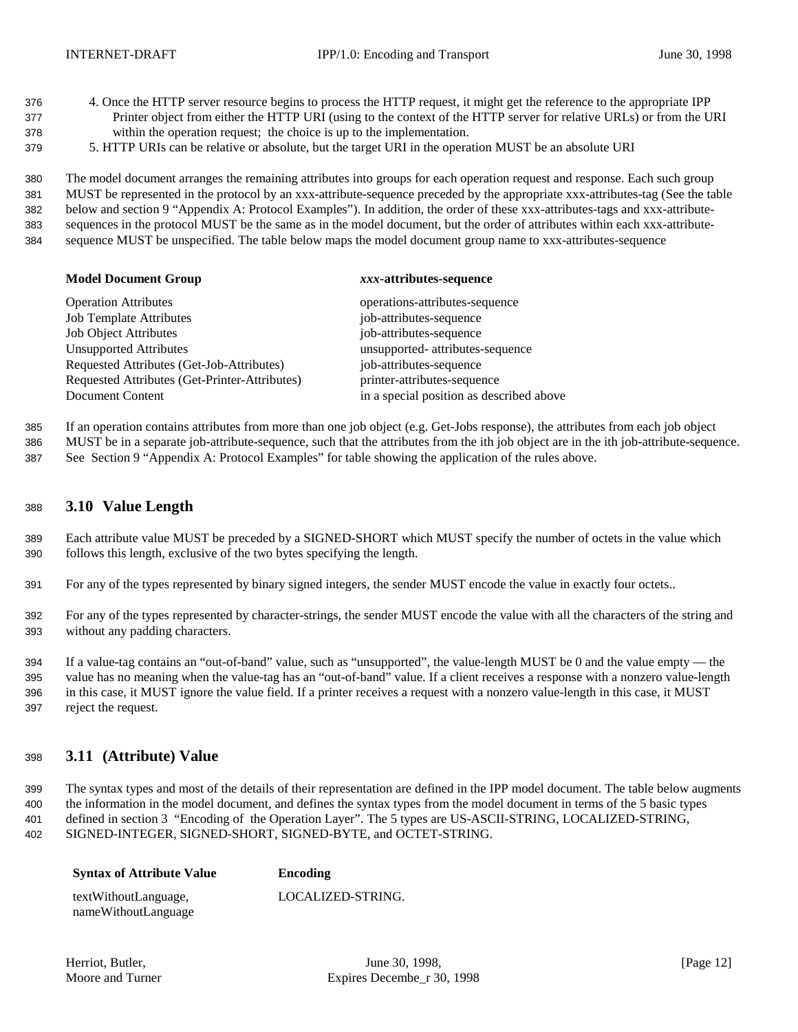- 4. Once the HTTP server resource begins to process the HTTP request, it might get the reference to the appropriate IPP Printer object from either the HTTP URI (using to the context of the HTTP server for relative URLs) or from the URI within the operation request; the choice is up to the implementation.
- 5. HTTP URIs can be relative or absolute, but the target URI in the operation MUST be an absolute URI

 The model document arranges the remaining attributes into groups for each operation request and response. Each such group MUST be represented in the protocol by an xxx-attribute-sequence preceded by the appropriate xxx-attributes-tag (See the table below and section 9 "Appendix A: Protocol Examples"). In addition, the order of these xxx-attributes-tags and xxx-attribute- sequences in the protocol MUST be the same as in the model document, but the order of attributes within each xxx-attribute-sequence MUST be unspecified. The table below maps the model document group name to xxx-attributes-sequence

## **Model Document Group** *xxx***-attributes-sequence**

| <b>Operation Attributes</b>                   | operations-attributes-sequence           |
|-----------------------------------------------|------------------------------------------|
| <b>Job Template Attributes</b>                | job-attributes-sequence                  |
| <b>Job Object Attributes</b>                  | job-attributes-sequence                  |
| <b>Unsupported Attributes</b>                 | unsupported- attributes-sequence         |
| Requested Attributes (Get-Job-Attributes)     | job-attributes-sequence                  |
| Requested Attributes (Get-Printer-Attributes) | printer-attributes-sequence              |
| Document Content                              | in a special position as described above |

If an operation contains attributes from more than one job object (e.g. Get-Jobs response), the attributes from each job object

MUST be in a separate job-attribute-sequence, such that the attributes from the ith job object are in the ith job-attribute-sequence.

See Section 9 "Appendix A: Protocol Examples" for table showing the application of the rules above.

### **3.10 Value Length**

 Each attribute value MUST be preceded by a SIGNED-SHORT which MUST specify the number of octets in the value which follows this length, exclusive of the two bytes specifying the length.

For any of the types represented by binary signed integers, the sender MUST encode the value in exactly four octets..

 For any of the types represented by character-strings, the sender MUST encode the value with all the characters of the string and without any padding characters.

 If a value-tag contains an "out-of-band" value, such as "unsupported", the value-length MUST be 0 and the value empty — the value has no meaning when the value-tag has an "out-of-band" value. If a client receives a response with a nonzero value-length in this case, it MUST ignore the value field. If a printer receives a request with a nonzero value-length in this case, it MUST reject the request.

## **3.11 (Attribute) Value**

 The syntax types and most of the details of their representation are defined in the IPP model document. The table below augments the information in the model document, and defines the syntax types from the model document in terms of the 5 basic types defined in section 3 "Encoding of the Operation Layer". The 5 types are US-ASCII-STRING, LOCALIZED-STRING, SIGNED-INTEGER, SIGNED-SHORT, SIGNED-BYTE, and OCTET-STRING.

| <b>Syntax of Attribute Value</b> | Encoding          |
|----------------------------------|-------------------|
| textWithoutLanguage,             | LOCALIZED-STRING. |
| nameWithoutLanguage              |                   |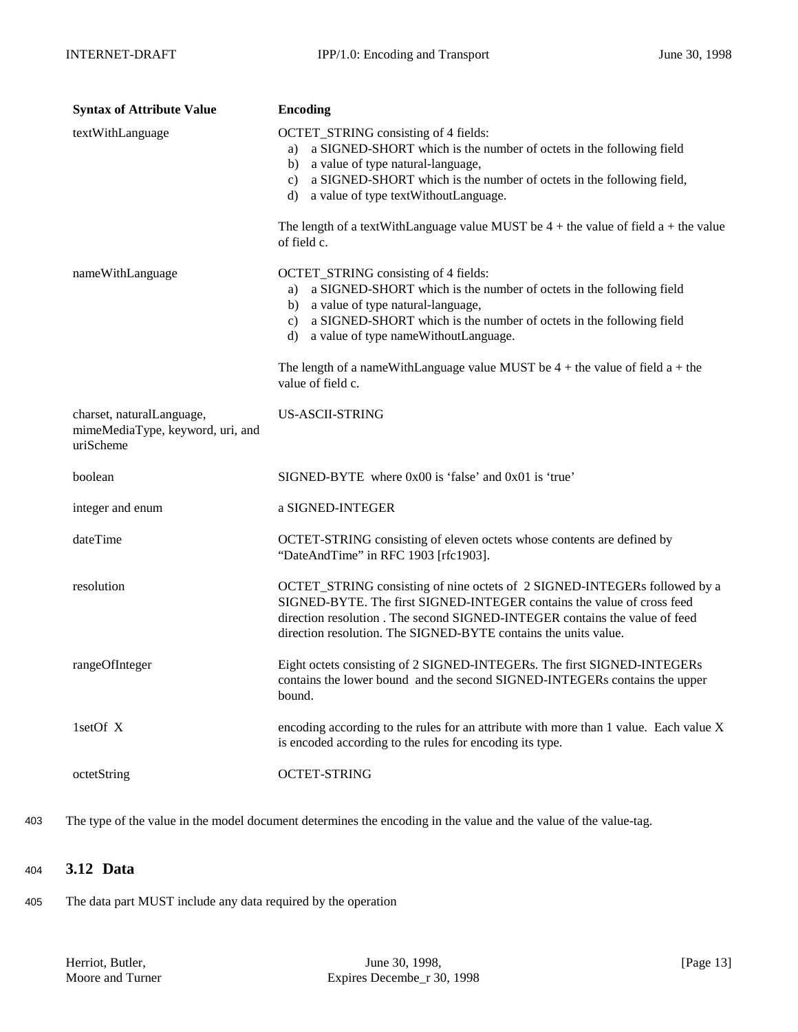| <b>Syntax of Attribute Value</b>                                           | <b>Encoding</b>                                                                                                                                                                                                                                                                                                                                                                       |  |  |  |  |
|----------------------------------------------------------------------------|---------------------------------------------------------------------------------------------------------------------------------------------------------------------------------------------------------------------------------------------------------------------------------------------------------------------------------------------------------------------------------------|--|--|--|--|
| textWithLanguage                                                           | OCTET_STRING consisting of 4 fields:<br>a) a SIGNED-SHORT which is the number of octets in the following field<br>b) a value of type natural-language,<br>c) a SIGNED-SHORT which is the number of octets in the following field,<br>d) a value of type text Without Language.                                                                                                        |  |  |  |  |
|                                                                            | The length of a textWithLanguage value MUST be $4 +$ the value of field a + the value<br>of field c.                                                                                                                                                                                                                                                                                  |  |  |  |  |
| nameWithLanguage                                                           | OCTET_STRING consisting of 4 fields:<br>a) a SIGNED-SHORT which is the number of octets in the following field<br>b) a value of type natural-language,<br>c) a SIGNED-SHORT which is the number of octets in the following field<br>d) a value of type nameWithoutLanguage.<br>The length of a nameWithLanguage value MUST be $4 +$ the value of field $a +$ the<br>value of field c. |  |  |  |  |
| charset, naturalLanguage,<br>mimeMediaType, keyword, uri, and<br>uriScheme | <b>US-ASCII-STRING</b>                                                                                                                                                                                                                                                                                                                                                                |  |  |  |  |
| boolean                                                                    | SIGNED-BYTE where 0x00 is 'false' and 0x01 is 'true'                                                                                                                                                                                                                                                                                                                                  |  |  |  |  |
| integer and enum                                                           | a SIGNED-INTEGER                                                                                                                                                                                                                                                                                                                                                                      |  |  |  |  |
| dateTime                                                                   | OCTET-STRING consisting of eleven octets whose contents are defined by<br>"DateAndTime" in RFC 1903 [rfc1903].                                                                                                                                                                                                                                                                        |  |  |  |  |
| resolution                                                                 | OCTET_STRING consisting of nine octets of 2 SIGNED-INTEGERs followed by a<br>SIGNED-BYTE. The first SIGNED-INTEGER contains the value of cross feed<br>direction resolution. The second SIGNED-INTEGER contains the value of feed<br>direction resolution. The SIGNED-BYTE contains the units value.                                                                                  |  |  |  |  |
| rangeOfInteger                                                             | Eight octets consisting of 2 SIGNED-INTEGERs. The first SIGNED-INTEGERs<br>contains the lower bound and the second SIGNED-INTEGERs contains the upper<br>bound.                                                                                                                                                                                                                       |  |  |  |  |
| 1setOf X                                                                   | encoding according to the rules for an attribute with more than 1 value. Each value X<br>is encoded according to the rules for encoding its type.                                                                                                                                                                                                                                     |  |  |  |  |
| octetString                                                                | <b>OCTET-STRING</b>                                                                                                                                                                                                                                                                                                                                                                   |  |  |  |  |

403 The type of the value in the model document determines the encoding in the value and the value of the value-tag.

## <sup>404</sup> **3.12 Data**

405 The data part MUST include any data required by the operation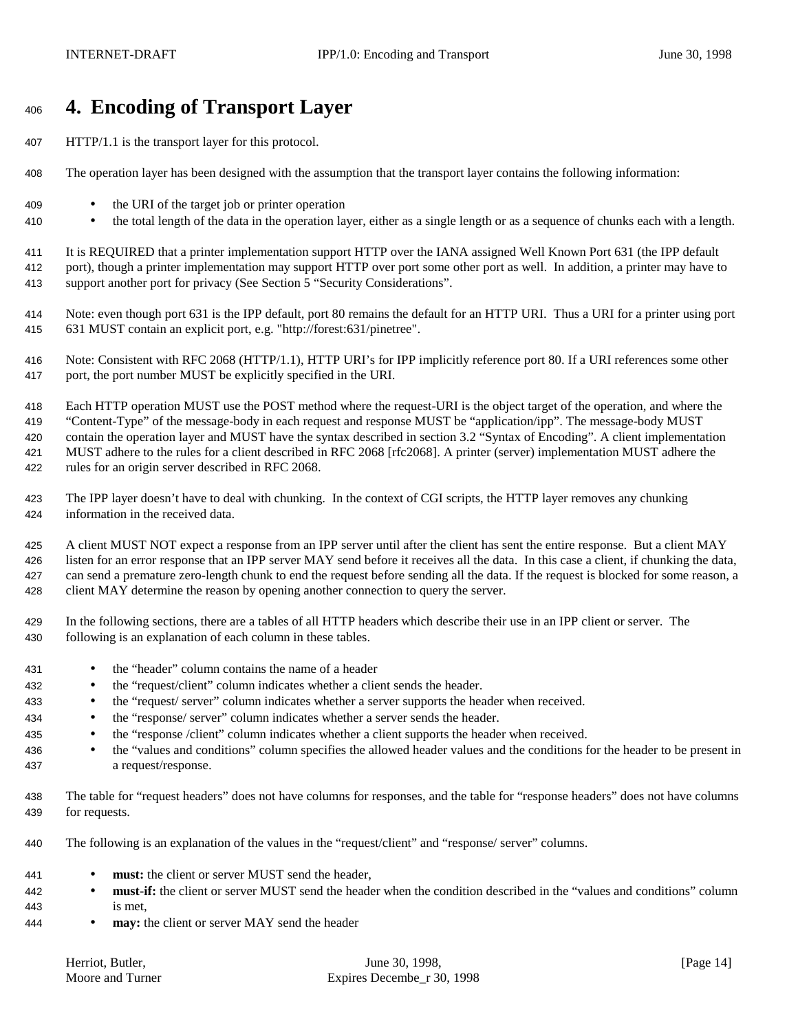# **4. Encoding of Transport Layer**

- HTTP/1.1 is the transport layer for this protocol.
- The operation layer has been designed with the assumption that the transport layer contains the following information:
- the URI of the target job or printer operation
- the total length of the data in the operation layer, either as a single length or as a sequence of chunks each with a length.

 It is REQUIRED that a printer implementation support HTTP over the IANA assigned Well Known Port 631 (the IPP default port), though a printer implementation may support HTTP over port some other port as well. In addition, a printer may have to support another port for privacy (See Section 5 "Security Considerations".

 Note: even though port 631 is the IPP default, port 80 remains the default for an HTTP URI. Thus a URI for a printer using port 631 MUST contain an explicit port, e.g. "http://forest:631/pinetree".

 Note: Consistent with RFC 2068 (HTTP/1.1), HTTP URI's for IPP implicitly reference port 80. If a URI references some other port, the port number MUST be explicitly specified in the URI.

 Each HTTP operation MUST use the POST method where the request-URI is the object target of the operation, and where the "Content-Type" of the message-body in each request and response MUST be "application/ipp". The message-body MUST contain the operation layer and MUST have the syntax described in section 3.2 "Syntax of Encoding". A client implementation MUST adhere to the rules for a client described in RFC 2068 [rfc2068]. A printer (server) implementation MUST adhere the rules for an origin server described in RFC 2068.

 The IPP layer doesn't have to deal with chunking. In the context of CGI scripts, the HTTP layer removes any chunking information in the received data.

 A client MUST NOT expect a response from an IPP server until after the client has sent the entire response. But a client MAY listen for an error response that an IPP server MAY send before it receives all the data. In this case a client, if chunking the data, can send a premature zero-length chunk to end the request before sending all the data. If the request is blocked for some reason, a client MAY determine the reason by opening another connection to query the server.

 In the following sections, there are a tables of all HTTP headers which describe their use in an IPP client or server. The following is an explanation of each column in these tables.

- the "header" column contains the name of a header
- the "request/client" column indicates whether a client sends the header.
- the "request/ server" column indicates whether a server supports the header when received.
- the "response/ server" column indicates whether a server sends the header.
- the "response /client" column indicates whether a client supports the header when received.
- <sup>436</sup> the "values and conditions" column specifies the allowed header values and the conditions for the header to be present in a request/response.
- The table for "request headers" does not have columns for responses, and the table for "response headers" does not have columns for requests.
- The following is an explanation of the values in the "request/client" and "response/ server" columns.
- **must:** the client or server MUST send the header,
- <sup>442</sup> **must-if:** the client or server MUST send the header when the condition described in the "values and conditions" column is met,
- **may:** the client or server MAY send the header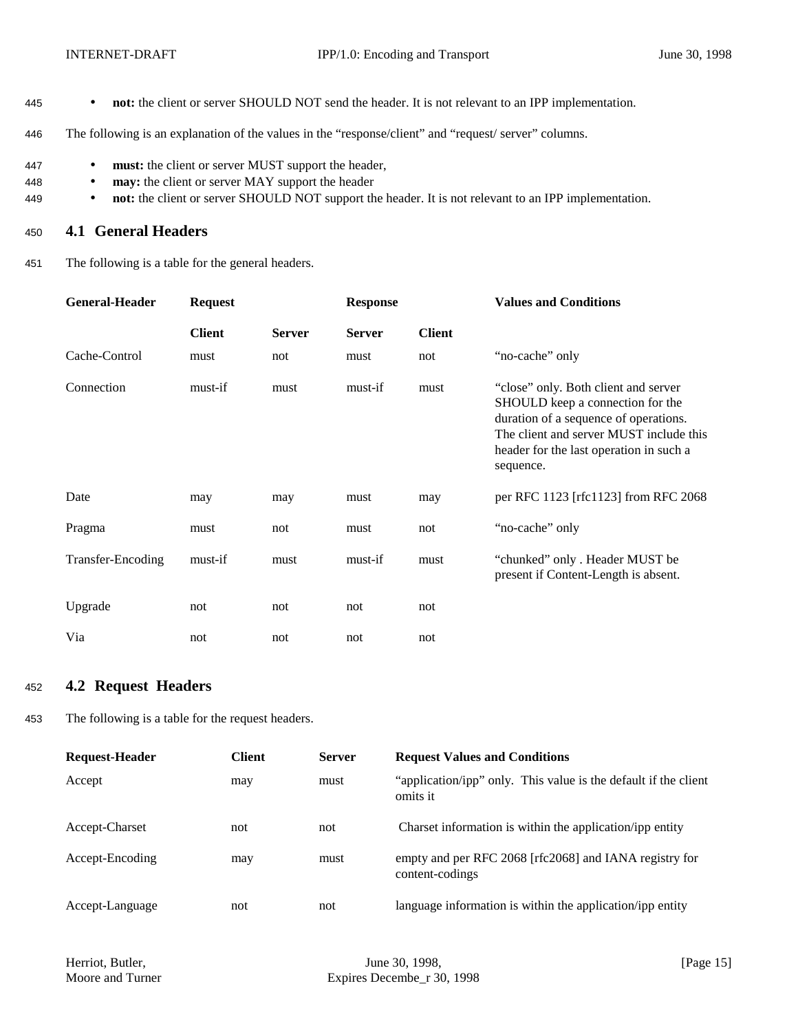- 445 **not:** the client or server SHOULD NOT send the header. It is not relevant to an IPP implementation.
- 446 The following is an explanation of the values in the "response/client" and "request/ server" columns.
- 447 **must:** the client or server MUST support the header,
- 448 **may:** the client or server MAY support the header
- 449 **not:** the client or server SHOULD NOT support the header. It is not relevant to an IPP implementation.

## <sup>450</sup> **4.1 General Headers**

451 The following is a table for the general headers.

| <b>General-Header</b>    | <b>Request</b> |               | <b>Response</b> |               | <b>Values and Conditions</b>                                                                                                                                                                                         |  |
|--------------------------|----------------|---------------|-----------------|---------------|----------------------------------------------------------------------------------------------------------------------------------------------------------------------------------------------------------------------|--|
|                          | <b>Client</b>  | <b>Server</b> | <b>Server</b>   | <b>Client</b> |                                                                                                                                                                                                                      |  |
| Cache-Control            | must           | not           | must            | not           | "no-cache" only                                                                                                                                                                                                      |  |
| Connection               | must-if        | must          | must-if         | must          | "close" only. Both client and server<br>SHOULD keep a connection for the<br>duration of a sequence of operations.<br>The client and server MUST include this<br>header for the last operation in such a<br>sequence. |  |
| Date                     | may            | may           | must            | may           | per RFC 1123 [rfc1123] from RFC 2068                                                                                                                                                                                 |  |
| Pragma                   | must           | not           | must            | not           | "no-cache" only                                                                                                                                                                                                      |  |
| <b>Transfer-Encoding</b> | must-if        | must          | must-if         | must          | "chunked" only. Header MUST be<br>present if Content-Length is absent.                                                                                                                                               |  |
| Upgrade                  | not            | not           | not             | not           |                                                                                                                                                                                                                      |  |
| Via                      | not            | not           | not             | not           |                                                                                                                                                                                                                      |  |

## <sup>452</sup> **4.2 Request Headers**

453 The following is a table for the request headers.

| <b>Request-Header</b> | <b>Client</b> | <b>Server</b> | <b>Request Values and Conditions</b>                                        |
|-----------------------|---------------|---------------|-----------------------------------------------------------------------------|
| Accept                | may           | must          | "application/ipp" only. This value is the default if the client<br>omits it |
| Accept-Charset        | not           | not           | Charset information is within the application/ipp entity                    |
| Accept-Encoding       | may           | must          | empty and per RFC 2068 [rfc2068] and IANA registry for<br>content-codings   |
| Accept-Language       | not           | not           | language information is within the application/ipp entity                   |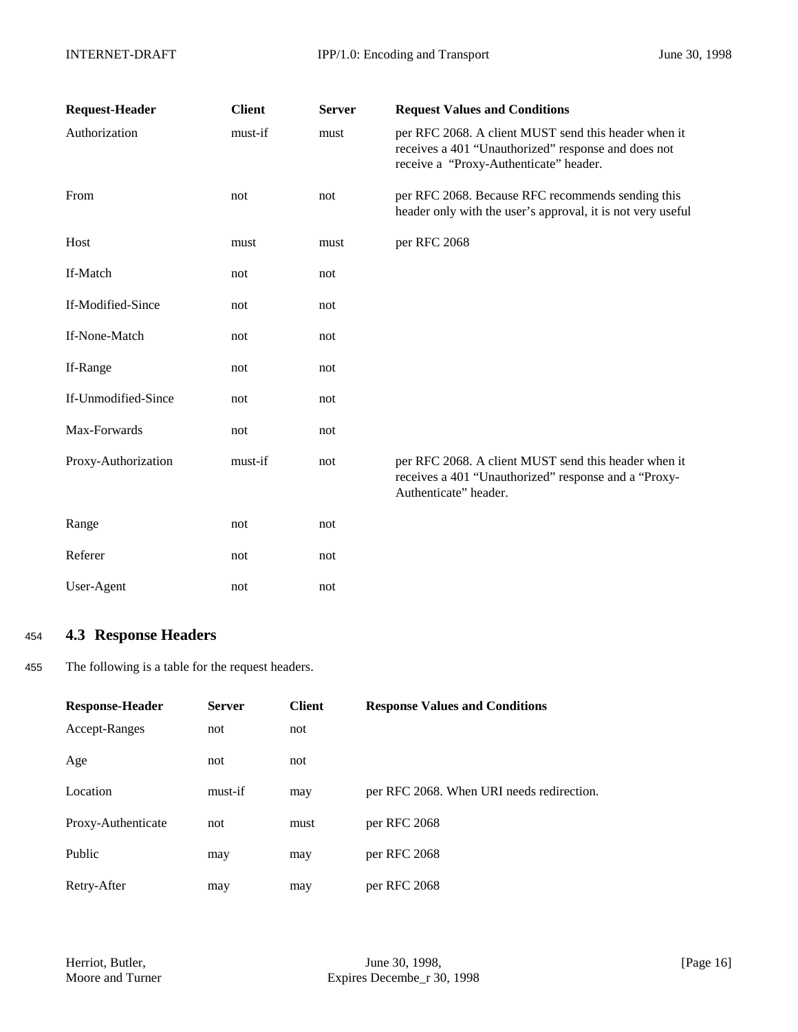| <b>Request-Header</b> | <b>Client</b> | <b>Server</b> | <b>Request Values and Conditions</b>                                                                                                                  |
|-----------------------|---------------|---------------|-------------------------------------------------------------------------------------------------------------------------------------------------------|
| Authorization         | must-if       | must          | per RFC 2068. A client MUST send this header when it<br>receives a 401 "Unauthorized" response and does not<br>receive a "Proxy-Authenticate" header. |
| From                  | not           | not           | per RFC 2068. Because RFC recommends sending this<br>header only with the user's approval, it is not very useful                                      |
| Host                  | must          | must          | per RFC 2068                                                                                                                                          |
| If-Match              | not           | not           |                                                                                                                                                       |
| If-Modified-Since     | not           | not           |                                                                                                                                                       |
| If-None-Match         | not           | not           |                                                                                                                                                       |
| If-Range              | not           | not           |                                                                                                                                                       |
| If-Unmodified-Since   | not           | not           |                                                                                                                                                       |
| Max-Forwards          | not           | not           |                                                                                                                                                       |
| Proxy-Authorization   | must-if       | not           | per RFC 2068. A client MUST send this header when it<br>receives a 401 "Unauthorized" response and a "Proxy-<br>Authenticate" header.                 |
| Range                 | not           | not           |                                                                                                                                                       |
| Referer               | not           | not           |                                                                                                                                                       |
| User-Agent            | not           | not           |                                                                                                                                                       |

## <sup>454</sup> **4.3 Response Headers**

455 The following is a table for the request headers.

| <b>Response-Header</b> | <b>Server</b> | <b>Client</b> | <b>Response Values and Conditions</b>     |
|------------------------|---------------|---------------|-------------------------------------------|
| Accept-Ranges          | not           | not           |                                           |
| Age                    | not           | not           |                                           |
| Location               | must-if       | may           | per RFC 2068. When URI needs redirection. |
| Proxy-Authenticate     | not           | must          | per RFC 2068                              |
| Public                 | may           | may           | per RFC 2068                              |
| Retry-After            | may           | may           | per RFC 2068                              |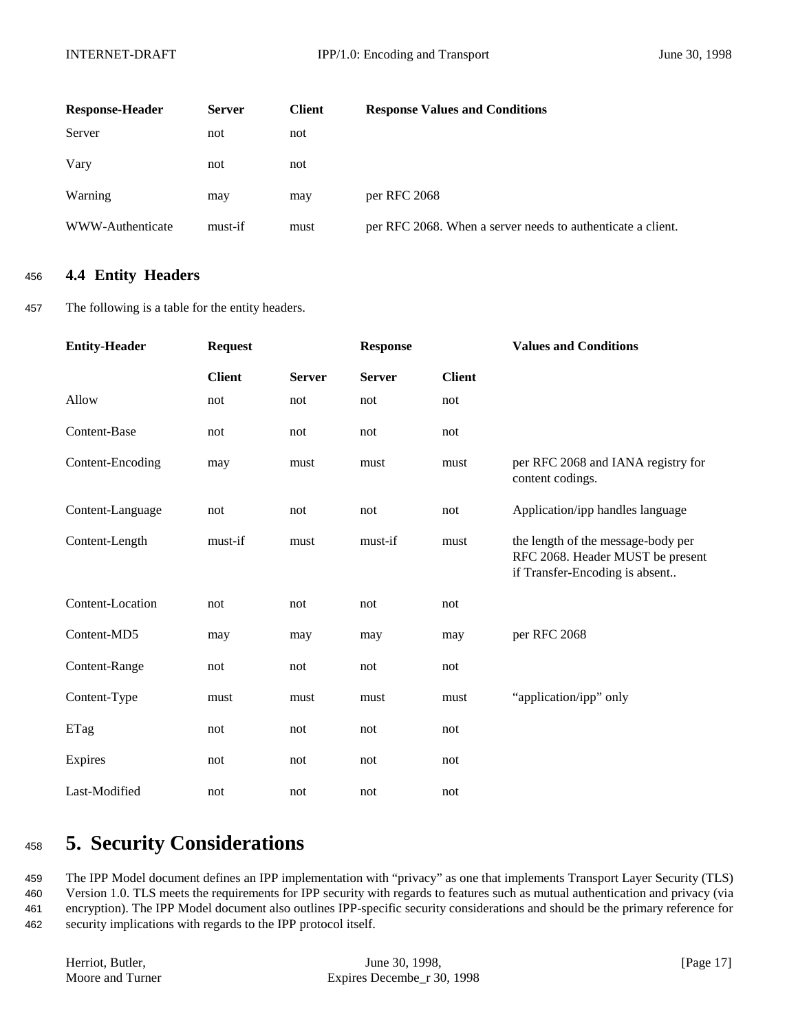| <b>Response-Header</b> | <b>Server</b> | <b>Client</b> | <b>Response Values and Conditions</b>                       |
|------------------------|---------------|---------------|-------------------------------------------------------------|
| Server                 | not           | not           |                                                             |
| Vary                   | not           | not           |                                                             |
| Warning                | may           | may           | per RFC 2068                                                |
| WWW-Authenticate       | must-if       | must          | per RFC 2068. When a server needs to authenticate a client. |

## <sup>456</sup> **4.4 Entity Headers**

457 The following is a table for the entity headers.

| <b>Entity-Header</b> | <b>Request</b> |               | <b>Response</b> |               | <b>Values and Conditions</b>                                                                             |
|----------------------|----------------|---------------|-----------------|---------------|----------------------------------------------------------------------------------------------------------|
|                      | <b>Client</b>  | <b>Server</b> | <b>Server</b>   | <b>Client</b> |                                                                                                          |
| Allow                | not            | not           | not             | not           |                                                                                                          |
| Content-Base         | not            | not           | not             | not           |                                                                                                          |
| Content-Encoding     | may            | must          | must            | must          | per RFC 2068 and IANA registry for<br>content codings.                                                   |
| Content-Language     | not            | not           | not             | not           | Application/ipp handles language                                                                         |
| Content-Length       | must-if        | must          | must-if         | must          | the length of the message-body per<br>RFC 2068. Header MUST be present<br>if Transfer-Encoding is absent |
| Content-Location     | not            | not           | not             | not           |                                                                                                          |
| Content-MD5          | may            | may           | may             | may           | per RFC 2068                                                                                             |
| Content-Range        | not            | not           | not             | not           |                                                                                                          |
| Content-Type         | must           | must          | must            | must          | "application/ipp" only                                                                                   |
| ETag                 | not            | not           | not             | not           |                                                                                                          |
| Expires              | not            | not           | not             | not           |                                                                                                          |
| Last-Modified        | not            | not           | not             | not           |                                                                                                          |

# <sup>458</sup> **5. Security Considerations**

 The IPP Model document defines an IPP implementation with "privacy" as one that implements Transport Layer Security (TLS) Version 1.0. TLS meets the requirements for IPP security with regards to features such as mutual authentication and privacy (via encryption). The IPP Model document also outlines IPP-specific security considerations and should be the primary reference for security implications with regards to the IPP protocol itself.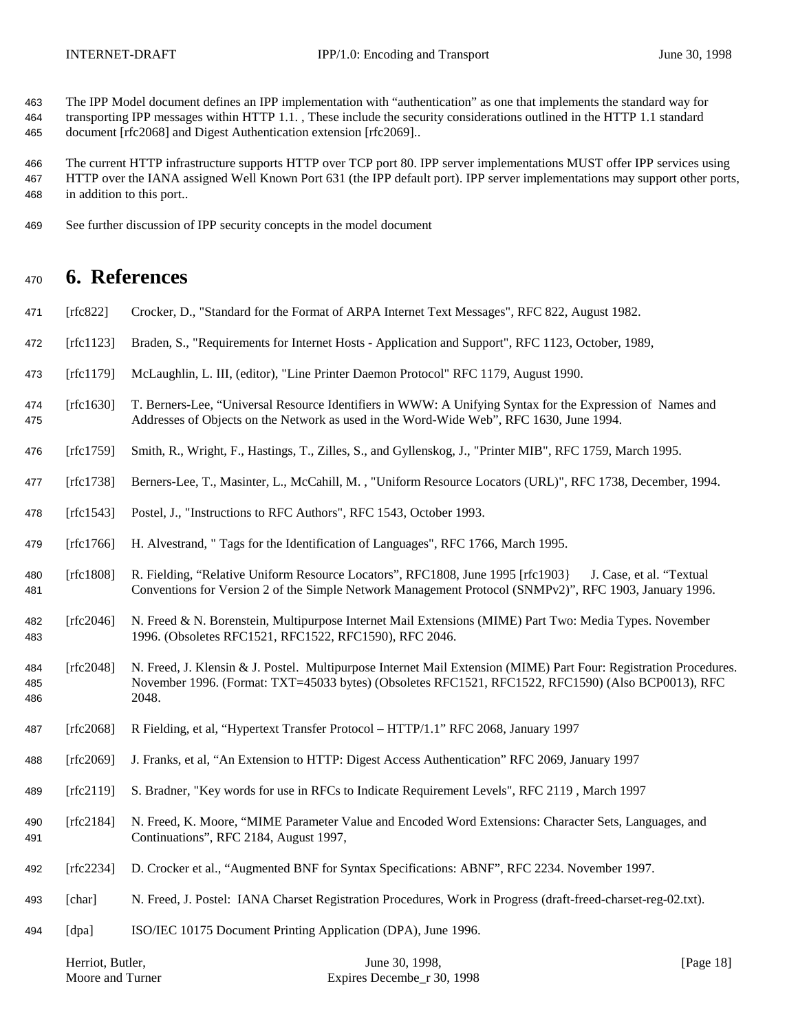The IPP Model document defines an IPP implementation with "authentication" as one that implements the standard way for transporting IPP messages within HTTP 1.1. , These include the security considerations outlined in the HTTP 1.1 standard document [rfc2068] and Digest Authentication extension [rfc2069]..

 The current HTTP infrastructure supports HTTP over TCP port 80. IPP server implementations MUST offer IPP services using HTTP over the IANA assigned Well Known Port 631 (the IPP default port). IPP server implementations may support other ports, in addition to this port..

See further discussion of IPP security concepts in the model document

## **6. References**

- [rfc822] Crocker, D., "Standard for the Format of ARPA Internet Text Messages", RFC 822, August 1982.
- [rfc1123] Braden, S., "Requirements for Internet Hosts Application and Support", RFC 1123, October, 1989,
- [rfc1179] McLaughlin, L. III, (editor), "Line Printer Daemon Protocol" RFC 1179, August 1990.
- [rfc1630] T. Berners-Lee, "Universal Resource Identifiers in WWW: A Unifying Syntax for the Expression of Names and Addresses of Objects on the Network as used in the Word-Wide Web", RFC 1630, June 1994.
- [rfc1759] Smith, R., Wright, F., Hastings, T., Zilles, S., and Gyllenskog, J., "Printer MIB", RFC 1759, March 1995.
- [rfc1738] Berners-Lee, T., Masinter, L., McCahill, M. , "Uniform Resource Locators (URL)", RFC 1738, December, 1994.
- [rfc1543] Postel, J., "Instructions to RFC Authors", RFC 1543, October 1993.
- [rfc1766] H. Alvestrand, " Tags for the Identification of Languages", RFC 1766, March 1995.
- [rfc1808] R. Fielding, "Relative Uniform Resource Locators", RFC1808, June 1995 [rfc1903} J. Case, et al. "Textual Conventions for Version 2 of the Simple Network Management Protocol (SNMPv2)", RFC 1903, January 1996.
- [rfc2046] N. Freed & N. Borenstein, Multipurpose Internet Mail Extensions (MIME) Part Two: Media Types. November 1996. (Obsoletes RFC1521, RFC1522, RFC1590), RFC 2046.
- [rfc2048] N. Freed, J. Klensin & J. Postel. Multipurpose Internet Mail Extension (MIME) Part Four: Registration Procedures. November 1996. (Format: TXT=45033 bytes) (Obsoletes RFC1521, RFC1522, RFC1590) (Also BCP0013), RFC 2048.
- [rfc2068] R Fielding, et al, "Hypertext Transfer Protocol HTTP/1.1" RFC 2068, January 1997
- [rfc2069] J. Franks, et al, "An Extension to HTTP: Digest Access Authentication" RFC 2069, January 1997
- [rfc2119] S. Bradner, "Key words for use in RFCs to Indicate Requirement Levels", RFC 2119 , March 1997
- [rfc2184] N. Freed, K. Moore, "MIME Parameter Value and Encoded Word Extensions: Character Sets, Languages, and Continuations", RFC 2184, August 1997,
- [rfc2234] D. Crocker et al., "Augmented BNF for Syntax Specifications: ABNF", RFC 2234. November 1997.
- [char] N. Freed, J. Postel: IANA Charset Registration Procedures, Work in Progress (draft-freed-charset-reg-02.txt).
- [dpa] ISO/IEC 10175 Document Printing Application (DPA), June 1996.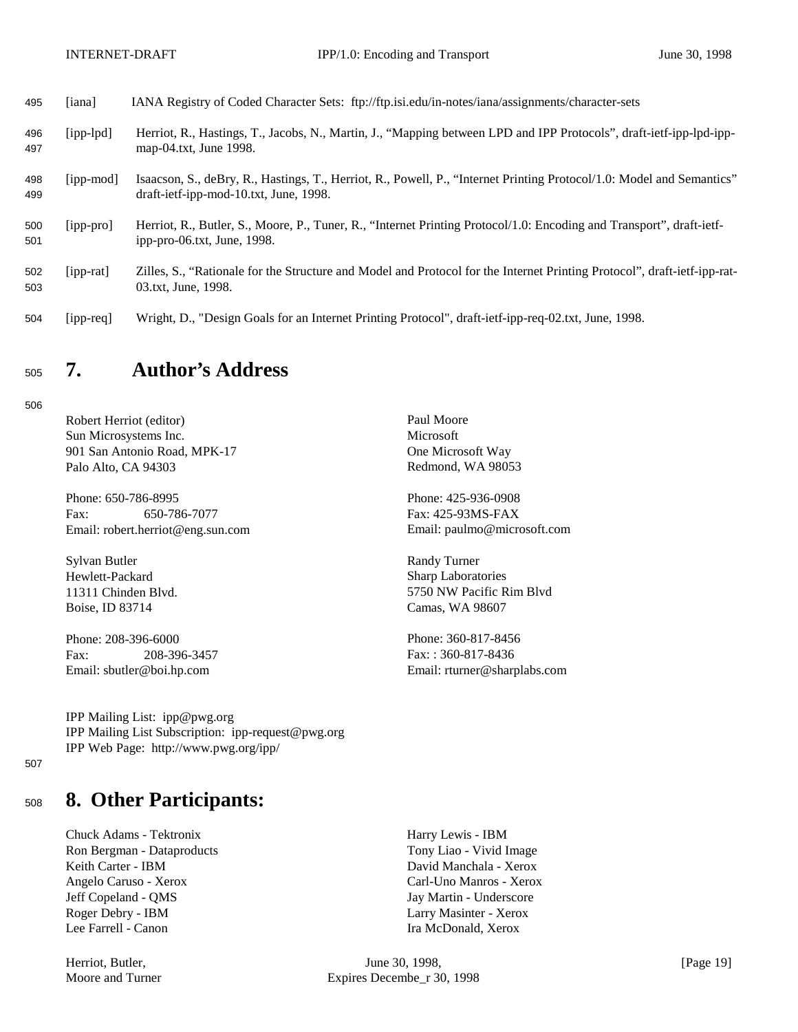| 495        | [iana]          | IANA Registry of Coded Character Sets: ftp://ftp.isi.edu/in-notes/iana/assignments/character-sets                                                               |
|------------|-----------------|-----------------------------------------------------------------------------------------------------------------------------------------------------------------|
| 496<br>497 | $[ipp-lpd]$     | Herriot, R., Hastings, T., Jacobs, N., Martin, J., "Mapping between LPD and IPP Protocols", draft-ietf-ipp-lpd-ipp-<br>map-04.txt, June 1998.                   |
| 498<br>499 | [ipp-mod]       | Isaacson, S., deBry, R., Hastings, T., Herriot, R., Powell, P., "Internet Printing Protocol/1.0: Model and Semantics"<br>draft-ietf-ipp-mod-10.txt, June, 1998. |
| 500<br>501 | [ipp-pro]       | Herriot, R., Butler, S., Moore, P., Tuner, R., "Internet Printing Protocol/1.0: Encoding and Transport", draft-ietf-<br>ipp-pro-06.txt, June, $1998$ .          |
| 502<br>503 | $[$ ipp-rat $]$ | Zilles, S., "Rationale for the Structure and Model and Protocol for the Internet Printing Protocol", draft-ietf-ipp-rat-<br>03.txt, June, 1998.                 |
| 504        | $[ipp-req]$     | Wright, D., "Design Goals for an Internet Printing Protocol", draft-ietf-ipp-req-02.txt, June, 1998.                                                            |

# <sup>505</sup> **7. Author's Address**

506

Robert Herriot (editor) Paul Moore Sun Microsystems Inc. Microsoft 901 San Antonio Road, MPK-17 One Microsoft Way Palo Alto, CA 94303 Redmond, WA 98053

Phone: 650-786-8995 Phone: 425-936-0908 Fax: 650-786-7077 Fax: 425-93MS-FAX Email: robert.herriot@eng.sun.com Email: paulmo@microsoft.com

Sylvan Butler Randy Turner Hewlett-Packard Sharp Laboratories Boise, ID 83714 Camas, WA 98607

Phone: 208-396-6000 Phone: 360-817-8456

Fax: 208-396-3457 Fax: : 360-817-8436 Email: sbutler@boi.hp.com Email: rturner@sharplabs.com

11311 Chinden Blvd. 5750 NW Pacific Rim Blvd

IPP Mailing List: ipp@pwg.org IPP Mailing List Subscription: ipp-request@pwg.org IPP Web Page: http://www.pwg.org/ipp/

507

# <sup>508</sup> **8. Other Participants:**

Chuck Adams - Tektronix Harry Lewis - IBM Ron Bergman - Dataproducts Tony Liao - Vivid Image Keith Carter - IBM David Manchala - Xerox Angelo Caruso - Xerox Carl-Uno Manros - Xerox Jeff Copeland - QMS Jay Martin - Underscore Roger Debry - IBM Larry Masinter - Xerox Lee Farrell - Canon **Ira McDonald, Xerox** Ira McDonald, Xerox

Herriot, Butler, **Internal 2008**, June 30, 1998, **Francisco Example 2018** [Page 19] Moore and Turner Expires Decembe\_r 30, 1998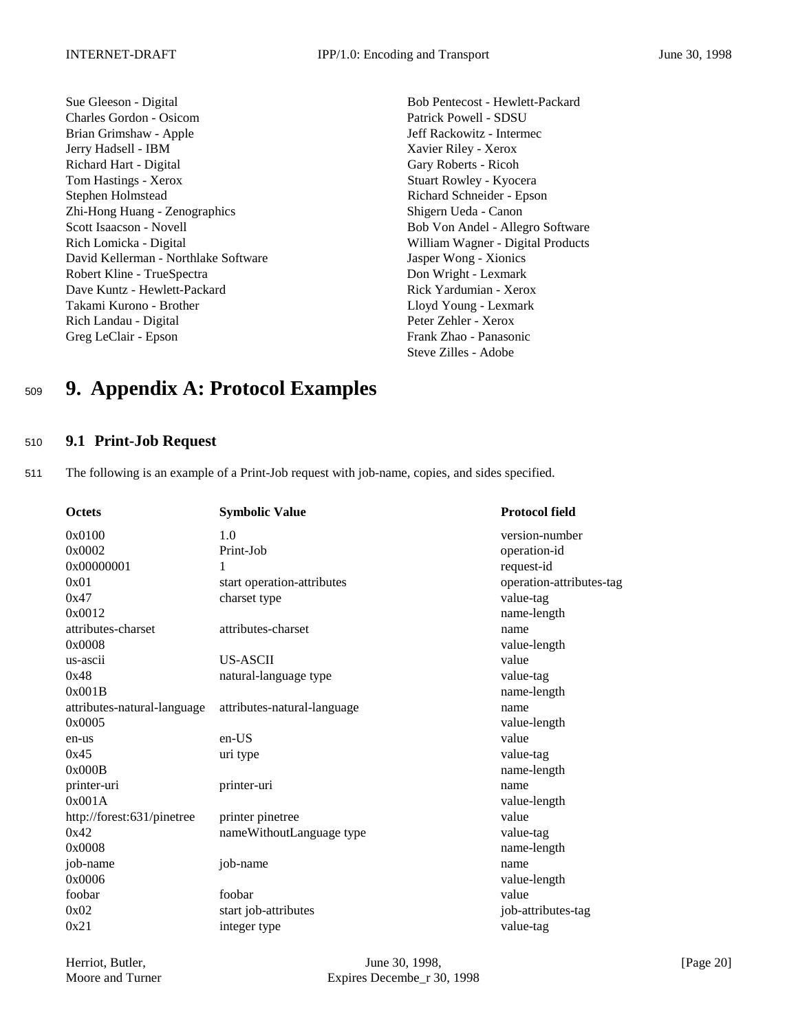Sue Gleeson - Digital Bob Pentecost - Hewlett-Packard Charles Gordon - Osicom Patrick Powell - SDSU Brian Grimshaw - Apple Jeff Rackowitz - Intermec Jerry Hadsell - IBM Xavier Riley - Xerox Richard Hart - Digital Gary Roberts - Ricoh Tom Hastings - Xerox Stuart Rowley - Kyocera Stephen Holmstead Richard Schneider - Epson Zhi-Hong Huang - Zenographics Shigern Ueda - Canon Scott Isaacson - Novell Bob Von Andel - Allegro Software Rich Lomicka - Digital William Wagner - Digital Products David Kellerman - Northlake Software Jasper Wong - Xionics Robert Kline - TrueSpectra **Don Wright - Lexmark** Dave Kuntz - Hewlett-Packard **Rick Yardumian - Xerox** Rick Yardumian - Xerox Takami Kurono - Brother Lloyd Young - Lexmark Rich Landau - Digital Peter Zehler - Xerox Greg LeClair - Epson Frank Zhao - Panasonic

Steve Zilles - Adobe

# <sup>509</sup> **9. Appendix A: Protocol Examples**

## <sup>510</sup> **9.1 Print-Job Request**

511 The following is an example of a Print-Job request with job-name, copies, and sides specified.

| <b>Octets</b>               | <b>Symbolic Value</b>       | <b>Protocol field</b>    |
|-----------------------------|-----------------------------|--------------------------|
| 0x0100                      | 1.0                         | version-number           |
| 0x0002                      | Print-Job                   | operation-id             |
| 0x00000001                  | 1                           | request-id               |
| 0x01                        | start operation-attributes  | operation-attributes-tag |
| 0x47                        | charset type                | value-tag                |
| 0x0012                      |                             | name-length              |
| attributes-charset          | attributes-charset          | name                     |
| 0x0008                      |                             | value-length             |
| us-ascii                    | <b>US-ASCII</b>             | value                    |
| 0x48                        | natural-language type       | value-tag                |
| 0x001B                      |                             | name-length              |
| attributes-natural-language | attributes-natural-language | name                     |
| 0x0005                      |                             | value-length             |
| en-us                       | $en-US$                     | value                    |
| 0x45                        | uri type                    | value-tag                |
| 0x000B                      |                             | name-length              |
| printer-uri                 | printer-uri                 | name                     |
| 0x001A                      |                             | value-length             |
| http://forest:631/pinetree  | printer pinetree            | value                    |
| 0x42                        | nameWithoutLanguage type    | value-tag                |
| 0x0008                      |                             | name-length              |
| job-name                    | job-name                    | name                     |
| 0x0006                      |                             | value-length             |
| foobar                      | foobar                      | value                    |
| 0x02                        | start job-attributes        | job-attributes-tag       |
| 0x21                        | integer type                | value-tag                |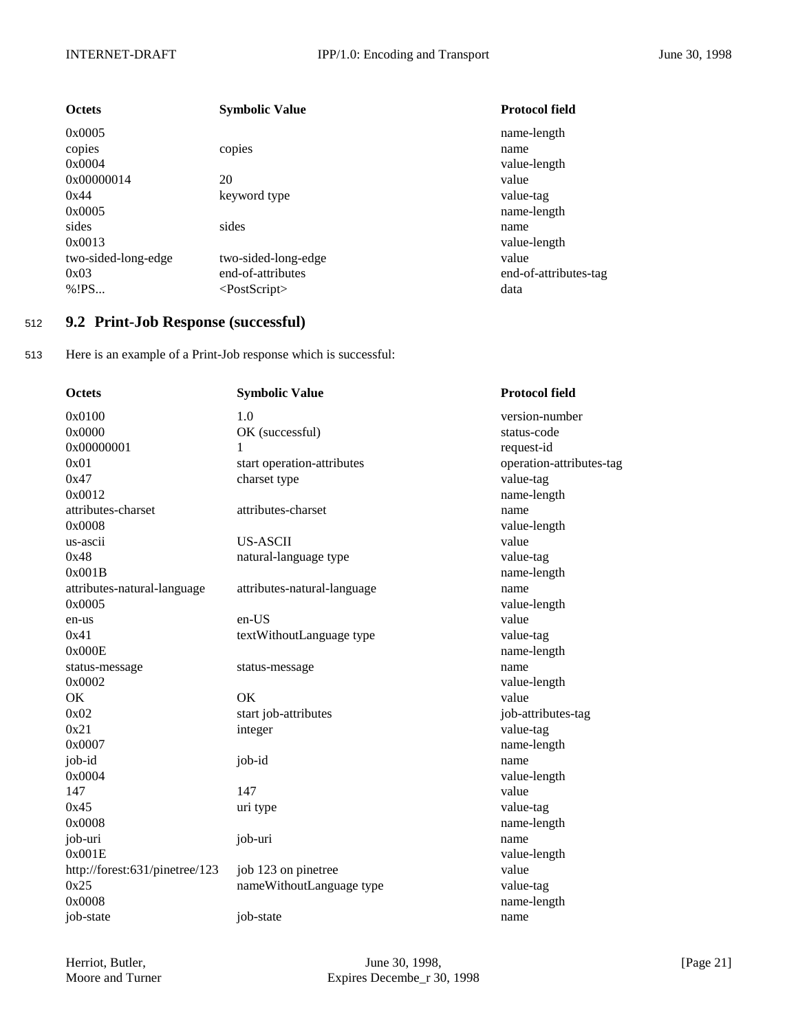| <b>Octets</b>       | <b>Symbolic Value</b> | <b>Protocol field</b> |
|---------------------|-----------------------|-----------------------|
| 0x0005              |                       | name-length           |
| copies              | copies                | name                  |
| 0x0004              |                       | value-length          |
| 0x00000014          | 20                    | value                 |
| 0x44                | keyword type          | value-tag             |
| 0x0005              |                       | name-length           |
| sides               | sides                 | name                  |
| 0x0013              |                       | value-length          |
| two-sided-long-edge | two-sided-long-edge   | value                 |
| 0x03                | end-of-attributes     | end-of-attributes-tag |
| % ! PS              | $<$ PostScript $>$    | data                  |

## <sup>512</sup> **9.2 Print-Job Response (successful)**

513 Here is an example of a Print-Job response which is successful:

| Octets                         | <b>Symbolic Value</b>       | <b>Protocol field</b>    |
|--------------------------------|-----------------------------|--------------------------|
| 0x0100                         | 1.0                         | version-number           |
| 0x0000                         | OK (successful)             | status-code              |
| 0x00000001                     | 1                           | request-id               |
| 0x01                           | start operation-attributes  | operation-attributes-tag |
| 0x47                           | charset type                | value-tag                |
| 0x0012                         |                             | name-length              |
| attributes-charset             | attributes-charset          | name                     |
| 0x0008                         |                             | value-length             |
| us-ascii                       | <b>US-ASCII</b>             | value                    |
| 0x48                           | natural-language type       | value-tag                |
| 0x001B                         |                             | name-length              |
| attributes-natural-language    | attributes-natural-language | name                     |
| 0x0005                         |                             | value-length             |
| en-us                          | en-US                       | value                    |
| 0x41                           | textWithoutLanguage type    | value-tag                |
| 0x000E                         |                             | name-length              |
| status-message                 | status-message              | name                     |
| 0x0002                         |                             | value-length             |
| OK.                            | <b>OK</b>                   | value                    |
| 0x02                           | start job-attributes        | job-attributes-tag       |
| 0x21                           | integer                     | value-tag                |
| 0x0007                         |                             | name-length              |
| job-id                         | job-id                      | name                     |
| 0x0004                         |                             | value-length             |
| 147                            | 147                         | value                    |
| 0x45                           | uri type                    | value-tag                |
| 0x0008                         |                             | name-length              |
| job-uri                        | job-uri                     | name                     |
| 0x001E                         |                             | value-length             |
| http://forest:631/pinetree/123 | job 123 on pinetree         | value                    |
| 0x25                           | nameWithoutLanguage type    | value-tag                |
| 0x0008                         |                             | name-length              |
| job-state                      | job-state                   | name                     |
|                                |                             |                          |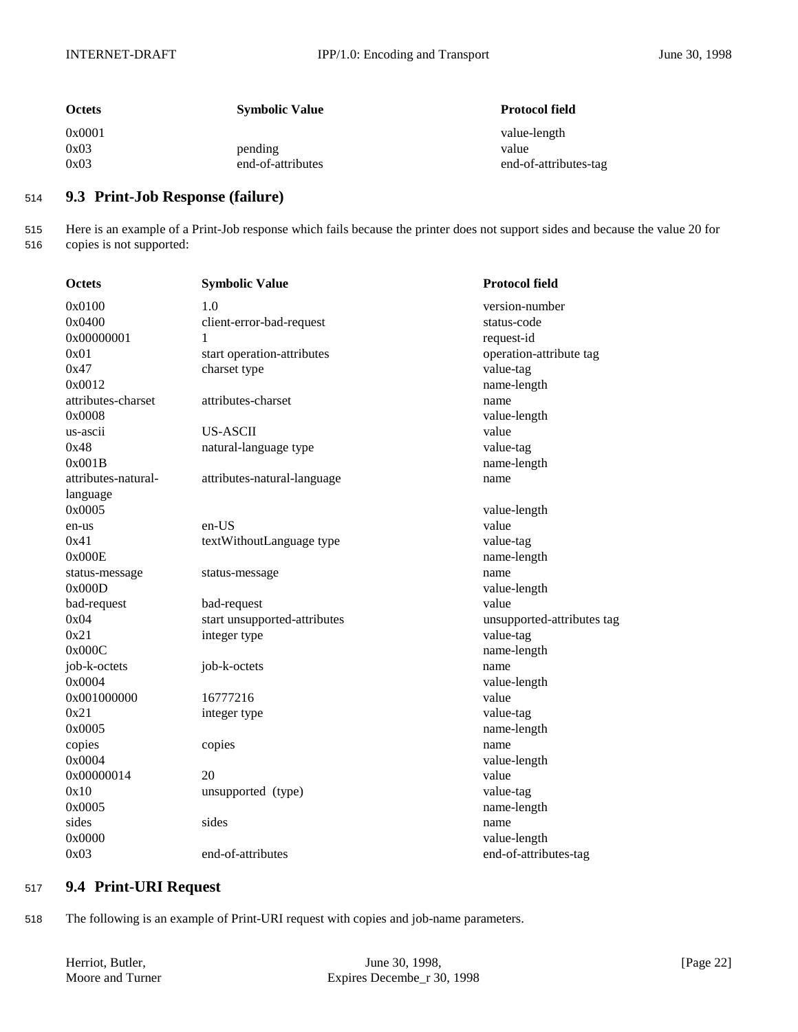| <b>Octets</b>          | <b>Symbolic Value</b>        | <b>Protocol field</b>                          |
|------------------------|------------------------------|------------------------------------------------|
| 0x0001<br>0x03<br>0x03 | pending<br>end-of-attributes | value-length<br>value<br>end-of-attributes-tag |

## <sup>514</sup> **9.3 Print-Job Response (failure)**

515 Here is an example of a Print-Job response which fails because the printer does not support sides and because the value 20 for 516 copies is not supported:

| Octets              | <b>Symbolic Value</b>        | <b>Protocol field</b>      |
|---------------------|------------------------------|----------------------------|
| 0x0100              | 1.0                          | version-number             |
| 0x0400              | client-error-bad-request     | status-code                |
| 0x00000001          | 1                            | request-id                 |
| 0x01                | start operation-attributes   | operation-attribute tag    |
| 0x47                | charset type                 | value-tag                  |
| 0x0012              |                              | name-length                |
| attributes-charset  | attributes-charset           | name                       |
| 0x0008              |                              | value-length               |
| us-ascii            | <b>US-ASCII</b>              | value                      |
| 0x48                | natural-language type        | value-tag                  |
| 0x001B              |                              | name-length                |
| attributes-natural- | attributes-natural-language  | name                       |
| language            |                              |                            |
| 0x0005              |                              | value-length               |
| en-us               | en-US                        | value                      |
| 0x41                | textWithoutLanguage type     | value-tag                  |
| 0x000E              |                              | name-length                |
| status-message      | status-message               | name                       |
| 0x000D              |                              | value-length               |
| bad-request         | bad-request                  | value                      |
| 0x04                | start unsupported-attributes | unsupported-attributes tag |
| 0x21                | integer type                 | value-tag                  |
| 0x000C              |                              | name-length                |
| job-k-octets        | job-k-octets                 | name                       |
| 0x0004              |                              | value-length               |
| 0x001000000         | 16777216                     | value                      |
| 0x21                | integer type                 | value-tag                  |
| 0x0005              |                              | name-length                |
| copies              | copies                       | name                       |
| 0x0004              |                              | value-length               |
| 0x00000014          | 20                           | value                      |
| 0x10                | unsupported (type)           | value-tag                  |
| 0x0005              |                              | name-length                |
| sides               | sides                        | name                       |
| 0x0000              |                              | value-length               |
| 0x03                | end-of-attributes            | end-of-attributes-tag      |

## <sup>517</sup> **9.4 Print-URI Request**

518 The following is an example of Print-URI request with copies and job-name parameters.

| Herriot, Butler, | June 30, 1998,                        | [Page 22] |
|------------------|---------------------------------------|-----------|
| Moore and Turner | Expires Decembe <sub>r</sub> 30, 1998 |           |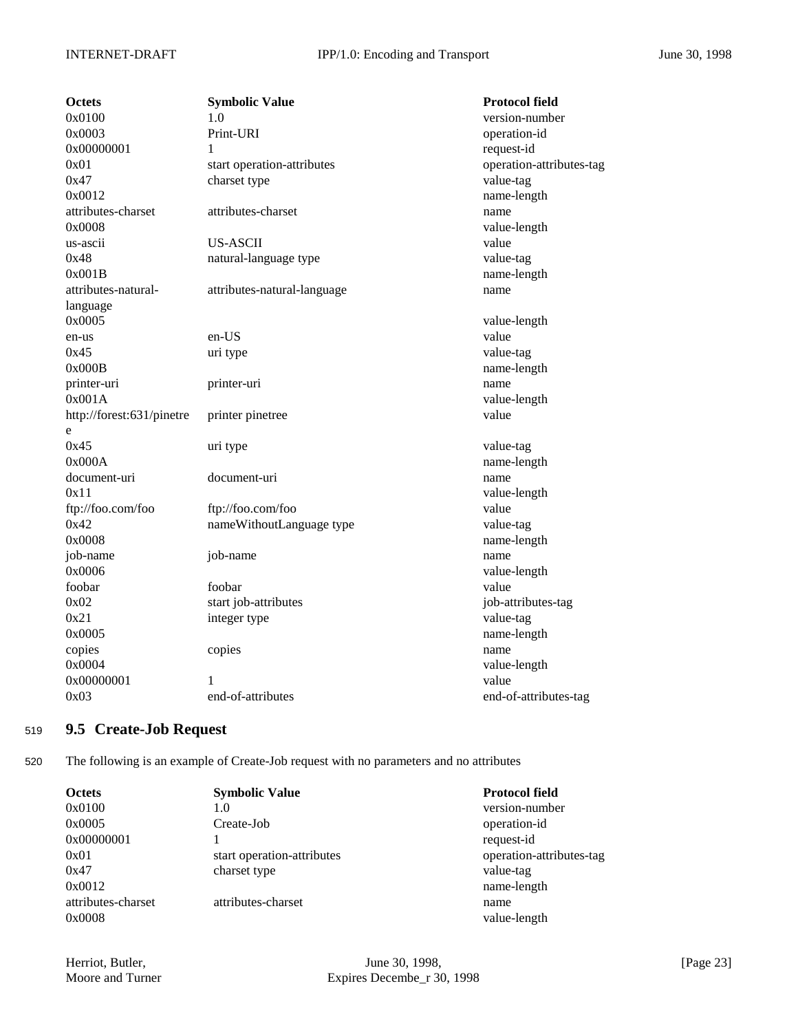| <b>Octets</b>             | <b>Symbolic Value</b>       | <b>Protocol field</b>    |
|---------------------------|-----------------------------|--------------------------|
| 0x0100                    | 1.0                         | version-number           |
| 0x0003                    | Print-URI                   | operation-id             |
| 0x00000001                | 1                           | request-id               |
| 0x01                      | start operation-attributes  | operation-attributes-tag |
| 0x47                      | charset type                | value-tag                |
| 0x0012                    |                             | name-length              |
| attributes-charset        | attributes-charset          | name                     |
| 0x0008                    |                             | value-length             |
| us-ascii                  | <b>US-ASCII</b>             | value                    |
| 0x48                      | natural-language type       | value-tag                |
| 0x001B                    |                             | name-length              |
| attributes-natural-       | attributes-natural-language | name                     |
| language                  |                             |                          |
| 0x0005                    |                             | value-length             |
| en-us                     | en-US                       | value                    |
| 0x45                      | uri type                    | value-tag                |
| 0x000B                    |                             | name-length              |
| printer-uri               | printer-uri                 | name                     |
| 0x001A                    |                             | value-length             |
| http://forest:631/pinetre | printer pinetree            | value                    |
| e                         |                             |                          |
| 0x45                      | uri type                    | value-tag                |
| 0x000A                    |                             | name-length              |
| document-uri              | document-uri                | name                     |
| 0x11                      |                             | value-length             |
| ftp://foo.com/foo         | ftp://foo.com/foo           | value                    |
| 0x42                      | nameWithoutLanguage type    | value-tag                |
| 0x0008                    |                             | name-length              |
| job-name                  | job-name                    | name                     |
| 0x0006                    |                             | value-length             |
| foobar                    | foobar                      | value                    |
| 0x02                      | start job-attributes        | job-attributes-tag       |
| 0x21                      | integer type                | value-tag                |
| 0x0005                    |                             | name-length              |
| copies                    | copies                      | name                     |
| 0x0004                    |                             | value-length             |
| 0x00000001                | 1                           | value                    |
| 0x03                      | end-of-attributes           | end-of-attributes-tag    |

## <sup>519</sup> **9.5 Create-Job Request**

520 The following is an example of Create-Job request with no parameters and no attributes

| <b>Octets</b>      | <b>Symbolic Value</b>      | <b>Protocol field</b>    |
|--------------------|----------------------------|--------------------------|
| 0x0100             | 1.0                        | version-number           |
| 0x0005             | Create-Job                 | operation-id             |
| 0x00000001         |                            | request-id               |
| 0x01               | start operation-attributes | operation-attributes-tag |
| 0x47               | charset type               | value-tag                |
| 0x0012             |                            | name-length              |
| attributes-charset | attributes-charset         | name                     |
| 0x0008             |                            | value-length             |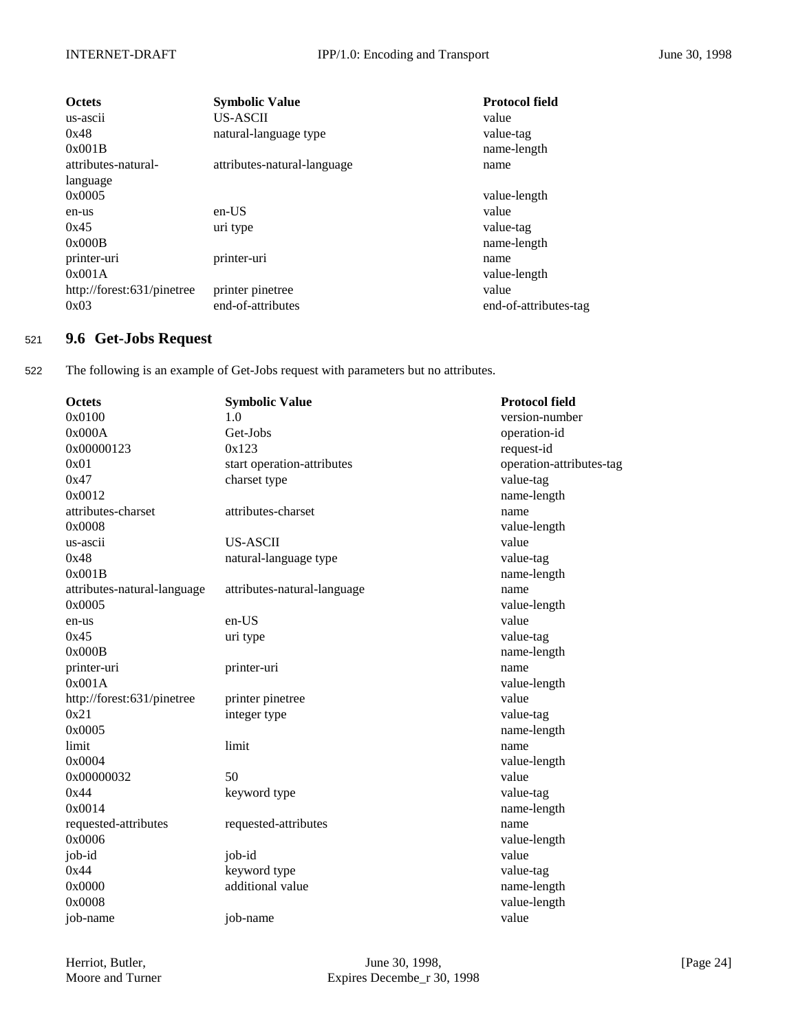| <b>Octets</b><br>us-ascii<br>0x48<br>0x001B | <b>Symbolic Value</b><br><b>US-ASCII</b><br>natural-language type | <b>Protocol field</b><br>value<br>value-tag<br>name-length |
|---------------------------------------------|-------------------------------------------------------------------|------------------------------------------------------------|
| attributes-natural-                         | attributes-natural-language                                       | name                                                       |
| language                                    |                                                                   |                                                            |
| 0x0005                                      |                                                                   | value-length                                               |
| en-us                                       | $en-US$                                                           | value                                                      |
| 0x45                                        | uri type                                                          | value-tag                                                  |
| 0x000B                                      |                                                                   | name-length                                                |
| printer-uri                                 | printer-uri                                                       | name                                                       |
| 0x001A                                      |                                                                   | value-length                                               |
| http://forest:631/pinetree                  | printer pinetree                                                  | value                                                      |
| 0x03                                        | end-of-attributes                                                 | end-of-attributes-tag                                      |

## <sup>521</sup> **9.6 Get-Jobs Request**

522 The following is an example of Get-Jobs request with parameters but no attributes.

| <b>Octets</b>               | <b>Symbolic Value</b>       | <b>Protocol field</b>    |
|-----------------------------|-----------------------------|--------------------------|
| 0x0100                      | 1.0                         | version-number           |
| 0x000A                      | Get-Jobs                    | operation-id             |
| 0x00000123                  | 0x123                       | request-id               |
| 0x01                        | start operation-attributes  | operation-attributes-tag |
| 0x47                        | charset type                | value-tag                |
| 0x0012                      |                             | name-length              |
| attributes-charset          | attributes-charset          | name                     |
| 0x0008                      |                             | value-length             |
| us-ascii                    | <b>US-ASCII</b>             | value                    |
| 0x48                        | natural-language type       | value-tag                |
| 0x001B                      |                             | name-length              |
| attributes-natural-language | attributes-natural-language | name                     |
| 0x0005                      |                             | value-length             |
| en-us                       | en-US                       | value                    |
| 0x45                        | uri type                    | value-tag                |
| 0x000B                      |                             | name-length              |
| printer-uri                 | printer-uri                 | name                     |
| 0x001A                      |                             | value-length             |
| http://forest:631/pinetree  | printer pinetree            | value                    |
| 0x21                        | integer type                | value-tag                |
| 0x0005                      |                             | name-length              |
| limit                       | limit                       | name                     |
| 0x0004                      |                             | value-length             |
| 0x00000032                  | 50                          | value                    |
| 0x44                        | keyword type                | value-tag                |
| 0x0014                      |                             | name-length              |
| requested-attributes        | requested-attributes        | name                     |
| 0x0006                      |                             | value-length             |
| job-id                      | job-id                      | value                    |
| 0x44                        | keyword type                | value-tag                |
| 0x0000                      | additional value            | name-length              |
| 0x0008                      |                             | value-length             |
| job-name                    | job-name                    | value                    |
|                             |                             |                          |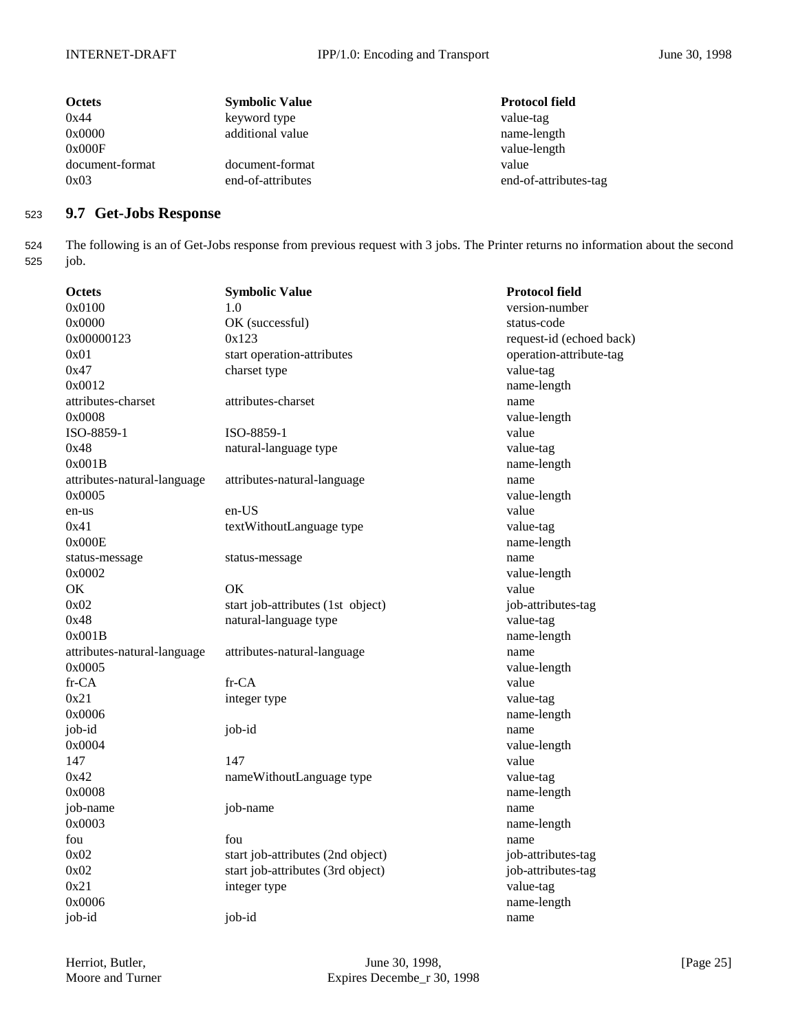| <b>Octets</b>   | <b>Symbolic Value</b> | <b>Protocol field</b> |
|-----------------|-----------------------|-----------------------|
| 0x44            | keyword type          | value-tag             |
| 0x0000          | additional value      | name-length           |
| 0x000F          |                       | value-length          |
| document-format | document-format       | value                 |
| 0x03            | end-of-attributes     | end-of-attributes-tag |

## <sup>523</sup> **9.7 Get-Jobs Response**

524 The following is an of Get-Jobs response from previous request with 3 jobs. The Printer returns no information about the second 525 job.

| <b>Octets</b>               | <b>Symbolic Value</b>             | <b>Protocol field</b>    |
|-----------------------------|-----------------------------------|--------------------------|
| 0x0100                      | 1.0                               | version-number           |
| 0x0000                      | OK (successful)                   | status-code              |
| 0x00000123                  | 0x123                             | request-id (echoed back) |
| 0x01                        | start operation-attributes        | operation-attribute-tag  |
| 0x47                        | charset type                      | value-tag                |
| 0x0012                      |                                   | name-length              |
| attributes-charset          | attributes-charset                | name                     |
| 0x0008                      |                                   | value-length             |
| ISO-8859-1                  | ISO-8859-1                        | value                    |
| 0x48                        | natural-language type             | value-tag                |
| 0x001B                      |                                   | name-length              |
| attributes-natural-language | attributes-natural-language       | name                     |
| 0x0005                      |                                   | value-length             |
| en-us                       | en-US                             | value                    |
| 0x41                        | textWithoutLanguage type          | value-tag                |
| 0x000E                      |                                   | name-length              |
| status-message              | status-message                    | name                     |
| 0x0002                      |                                   | value-length             |
| OK                          | OK                                | value                    |
| 0x02                        | start job-attributes (1st object) | job-attributes-tag       |
| 0x48                        | natural-language type             | value-tag                |
| 0x001B                      |                                   | name-length              |
| attributes-natural-language | attributes-natural-language       | name                     |
| 0x0005                      |                                   | value-length             |
| $fr-CA$                     | fr-CA                             | value                    |
| 0x21                        | integer type                      | value-tag                |
| 0x0006                      |                                   | name-length              |
| job-id                      | job-id                            | name                     |
| 0x0004                      |                                   | value-length             |
| 147                         | 147                               | value                    |
| 0x42                        | nameWithoutLanguage type          | value-tag                |
| 0x0008                      |                                   | name-length              |
| job-name                    | job-name                          | name                     |
| 0x0003                      |                                   | name-length              |
| fou                         | fou                               | name                     |
| 0x02                        | start job-attributes (2nd object) | job-attributes-tag       |
| 0x02                        | start job-attributes (3rd object) | job-attributes-tag       |
| 0x21                        | integer type                      | value-tag                |
| 0x0006                      |                                   | name-length              |
| job-id                      | job-id                            | name                     |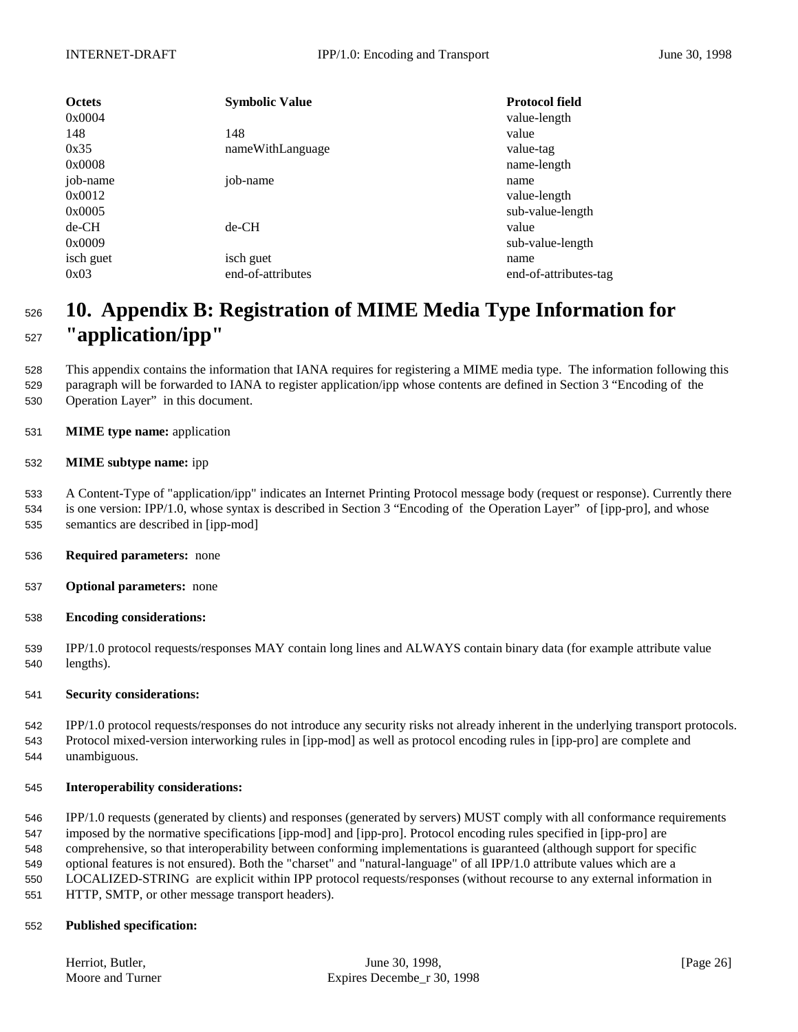| <b>Octets</b><br>0x0004 | <b>Symbolic Value</b> | <b>Protocol field</b><br>value-length |
|-------------------------|-----------------------|---------------------------------------|
| 148                     | 148                   | value                                 |
| 0x35                    | nameWithLanguage      | value-tag                             |
| 0x0008                  |                       | name-length                           |
| job-name                | job-name              | name                                  |
| 0x0012                  |                       | value-length                          |
| 0x0005                  |                       | sub-value-length                      |
| $de-CH$                 | $de-CH$               | value                                 |
| 0x0009                  |                       | sub-value-length                      |
| isch guet               | isch guet             | name                                  |
| 0x03                    | end-of-attributes     | end-of-attributes-tag                 |

# **10. Appendix B: Registration of MIME Media Type Information for "application/ipp"**

 This appendix contains the information that IANA requires for registering a MIME media type. The information following this paragraph will be forwarded to IANA to register application/ipp whose contents are defined in Section 3 "Encoding of the Operation Layer" in this document.

**MIME type name:** application

#### **MIME subtype name:** ipp

 A Content-Type of "application/ipp" indicates an Internet Printing Protocol message body (request or response). Currently there is one version: IPP/1.0, whose syntax is described in Section 3 "Encoding of the Operation Layer" of [ipp-pro], and whose semantics are described in [ipp-mod]

- **Required parameters:** none
- **Optional parameters:** none
- **Encoding considerations:**

 IPP/1.0 protocol requests/responses MAY contain long lines and ALWAYS contain binary data (for example attribute value lengths).

#### **Security considerations:**

 IPP/1.0 protocol requests/responses do not introduce any security risks not already inherent in the underlying transport protocols. Protocol mixed-version interworking rules in [ipp-mod] as well as protocol encoding rules in [ipp-pro] are complete and unambiguous.

#### **Interoperability considerations:**

 IPP/1.0 requests (generated by clients) and responses (generated by servers) MUST comply with all conformance requirements imposed by the normative specifications [ipp-mod] and [ipp-pro]. Protocol encoding rules specified in [ipp-pro] are comprehensive, so that interoperability between conforming implementations is guaranteed (although support for specific optional features is not ensured). Both the "charset" and "natural-language" of all IPP/1.0 attribute values which are a LOCALIZED-STRING are explicit within IPP protocol requests/responses (without recourse to any external information in HTTP, SMTP, or other message transport headers).

#### **Published specification:**

| Herriot, Butler, |  |
|------------------|--|
| Moore and Turner |  |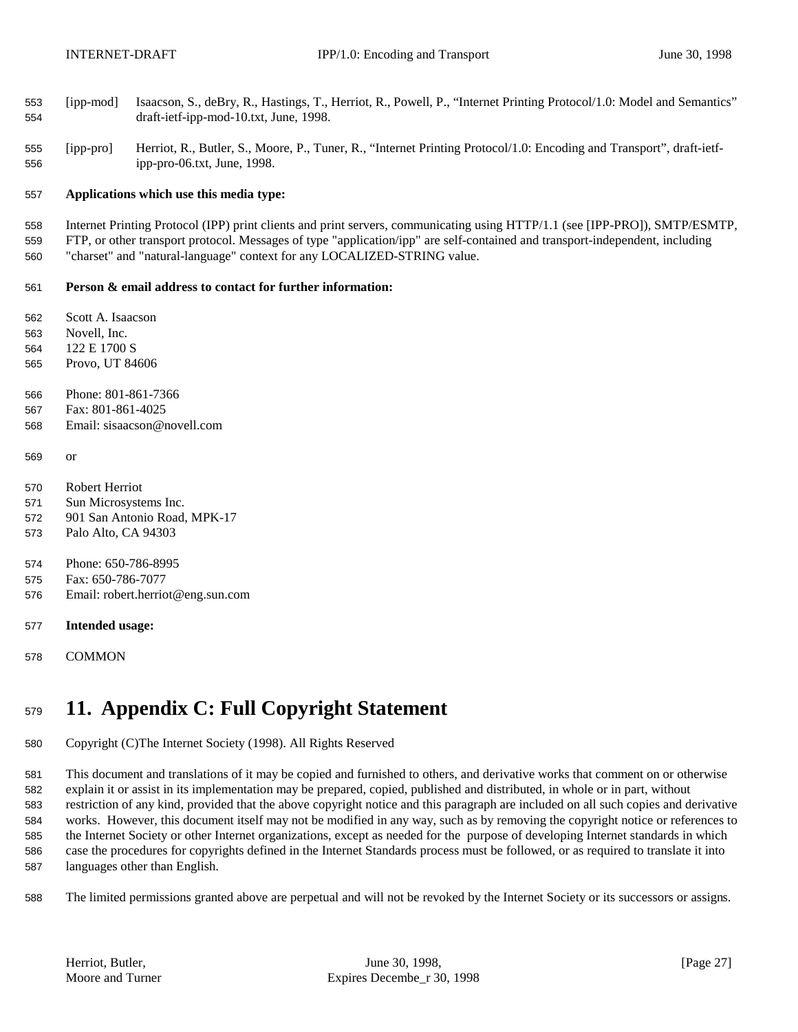- [ipp-mod] Isaacson, S., deBry, R., Hastings, T., Herriot, R., Powell, P., "Internet Printing Protocol/1.0: Model and Semantics" draft-ietf-ipp-mod-10.txt, June, 1998.
- [ipp-pro] Herriot, R., Butler, S., Moore, P., Tuner, R., "Internet Printing Protocol/1.0: Encoding and Transport", draft-ietf-ipp-pro-06.txt, June, 1998.

#### **Applications which use this media type:**

 Internet Printing Protocol (IPP) print clients and print servers, communicating using HTTP/1.1 (see [IPP-PRO]), SMTP/ESMTP, FTP, or other transport protocol. Messages of type "application/ipp" are self-contained and transport-independent, including "charset" and "natural-language" context for any LOCALIZED-STRING value.

#### **Person & email address to contact for further information:**

Scott A. Isaacson

- Novell, Inc.
- 122 E 1700 S
- Provo, UT 84606
- Phone: 801-861-7366
- Fax: 801-861-4025
- Email: sisaacson@novell.com
- or
- Robert Herriot
- Sun Microsystems Inc.
- 901 San Antonio Road, MPK-17
- Palo Alto, CA 94303
- Phone: 650-786-8995
- Fax: 650-786-7077
- Email: robert.herriot@eng.sun.com
- **Intended usage:**
- COMMON

# **11. Appendix C: Full Copyright Statement**

Copyright (C)The Internet Society (1998). All Rights Reserved

 This document and translations of it may be copied and furnished to others, and derivative works that comment on or otherwise explain it or assist in its implementation may be prepared, copied, published and distributed, in whole or in part, without restriction of any kind, provided that the above copyright notice and this paragraph are included on all such copies and derivative works. However, this document itself may not be modified in any way, such as by removing the copyright notice or references to the Internet Society or other Internet organizations, except as needed for the purpose of developing Internet standards in which case the procedures for copyrights defined in the Internet Standards process must be followed, or as required to translate it into languages other than English.

The limited permissions granted above are perpetual and will not be revoked by the Internet Society or its successors or assigns.